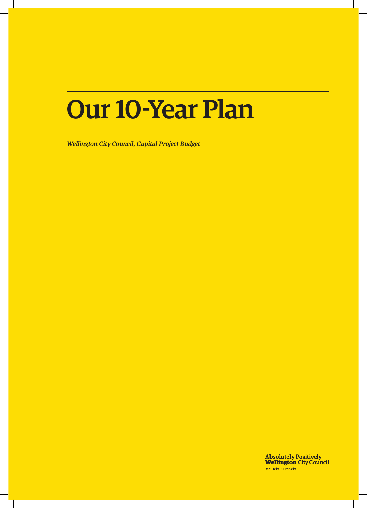# Our 10-Year Plan

*Wellington City Council, Capital Project Budget*

**Absolutely Positively<br>Wellington City Council** Me Heke Ki Pôneke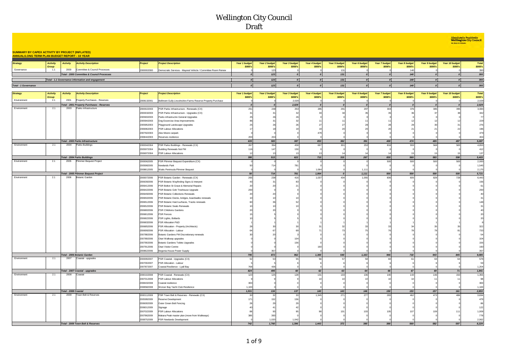**Absolutely Positively** 

|                                                                                                                |                 |                      |                                                                |                          |                                                              |                  |                      |                  |                  |                  |               |                  |                  |                           | Me Heke Ki Pôneke |                |
|----------------------------------------------------------------------------------------------------------------|-----------------|----------------------|----------------------------------------------------------------|--------------------------|--------------------------------------------------------------|------------------|----------------------|------------------|------------------|------------------|---------------|------------------|------------------|---------------------------|-------------------|----------------|
|                                                                                                                |                 |                      |                                                                |                          |                                                              |                  |                      |                  |                  |                  |               |                  |                  |                           |                   |                |
| <b>SUMMARY BY CAPEX ACTIVITY BY PROJECT (INFLATED)</b><br><b>ANNUAL/LONG TERM PLAN BUDGET REPORT - 10 YEAR</b> |                 |                      |                                                                |                          |                                                              |                  |                      |                  |                  |                  |               |                  |                  |                           |                   |                |
|                                                                                                                |                 |                      |                                                                |                          |                                                              |                  |                      |                  |                  |                  |               |                  |                  |                           |                   |                |
| <b>Strategy</b>                                                                                                | <b>Activity</b> | <b>Activity</b>      | <b>Activity Description</b>                                    | Project                  | <b>Project Description</b>                                   | Year 1 budget    | Year 2 budget        | Year 3 budget    | Year 4 budget    | Year 5 budget    | Year 6 budget | Year 7 budget    | Year 8 budget    | Year 9 budget             | Year 10 budget    | <b>Total</b>   |
|                                                                                                                | Group           |                      |                                                                |                          |                                                              | \$000's          | \$000's              | \$000's          | \$000's          | \$000's          | \$000's       | \$000's          | \$000's          | \$000's                   | \$000's           | \$000's        |
| Governance                                                                                                     | 1.1             | 2000                 | Committee & Council Processes                                  | 2000002000               | Democratic Services - Mayoral Vehicle / Committee Room Renew | $\boldsymbol{0}$ | 123                  |                  |                  | 131              |               |                  | 140              |                           |                   | 393            |
|                                                                                                                |                 |                      | Total - 2000 Committee & Council Processes                     |                          |                                                              |                  | 123                  | $\theta$         | 0                | 131              | o             | $\circ$          | 140              | $\overline{\mathfrak{o}}$ | $\Omega$          | 393            |
|                                                                                                                |                 |                      | Total - 1.1 Governance information and engagement              |                          |                                                              | $\overline{a}$   | 123                  | $\circ$          | o                | 131              | o             | $\circ$          | 140              | $\Omega$                  | $\Omega$          | 393            |
| Total - 1 Governance                                                                                           |                 |                      |                                                                |                          |                                                              | $\boldsymbol{o}$ | 123                  | $\boldsymbol{o}$ | $\boldsymbol{o}$ | 131              | o             | $\boldsymbol{o}$ | 140              | $\mathfrak{o}$            | $\circ$           | 393            |
|                                                                                                                |                 |                      |                                                                |                          |                                                              |                  |                      |                  |                  |                  |               |                  |                  |                           |                   |                |
| <b>Strategy</b>                                                                                                | <b>Activity</b> | <b>Activity</b>      | <b>Activity Description</b>                                    | Project                  | <b>Project Description</b>                                   | Year 1 budget    | Year 2 budget        | Year 3 budget    | Year 4 budget    | Year 5 budget    | Year 6 budget | Year 7 budget    | Year 8 budget    | Year 9 budget             | Year 10 budget    | <b>Total</b>   |
| Environment                                                                                                    | Group<br>2.1    | 2001                 | Property Purchases - Reserves                                  |                          |                                                              | \$000's          | \$000's              | \$000's          | \$000's          | \$000's          | \$000's       | \$000's          | \$000's          | \$000's                   | \$000's           | \$000's        |
|                                                                                                                |                 |                      | Total - 2001 Property Purchases - Reserves                     | 2008132001               | Bellmont Gully Lincolnshire Farms Reserve Property Purchase  | $\boldsymbol{0}$ |                      | 2,029<br>2,029   | $\boldsymbol{0}$ | $\boldsymbol{0}$ | $\Omega$      | $\boldsymbol{0}$ | $\boldsymbol{0}$ |                           | $\Omega$          | 2,029<br>2,029 |
| Environment                                                                                                    | 2.1             | 2003                 | Parks Infrastructure                                           | 2000022003               | <sup>2</sup> SR Parks Infrastructure - Renewals (CX)         | 251              | 248                  | 253              | 285              | 291              | 297           | 304              | 376              | 385                       | 395               | 3,084          |
|                                                                                                                |                 |                      |                                                                | 2000032003               | PSR Parks Infrastructure - Upgrades (CX)                     | 31               | 3                    | -32              | 33               | 34               | 35            | 35               |                  | 37                        | 31                | 342            |
|                                                                                                                |                 |                      |                                                                | 2005932003               | Parks infrastructre General Upgrades                         |                  |                      |                  |                  |                  |               |                  |                  |                           |                   | 77             |
|                                                                                                                |                 |                      |                                                                | 2005942003               | Dog Excercise Area Improvements                              |                  |                      |                  |                  |                  |               |                  |                  |                           |                   | 229            |
|                                                                                                                |                 |                      |                                                                | 2005952003               | Playground Landscape Upgrades                                |                  |                      |                  |                  | 27               |               |                  |                  |                           |                   | 276            |
|                                                                                                                |                 |                      |                                                                | 2006962003               | PSR Labour Allocations                                       |                  |                      |                  |                  | $\overline{2}$   |               |                  |                  |                           |                   | 196            |
|                                                                                                                |                 |                      |                                                                | 2007922003               | Alex Moore carpark                                           |                  |                      |                  | 479              |                  |               |                  |                  |                           |                   | 479            |
|                                                                                                                |                 |                      |                                                                | 2008442003               | Reserves resilience                                          | 200              | $20 -$               |                  |                  |                  |               |                  |                  |                           |                   | 404            |
|                                                                                                                |                 |                      | Total - 2003 Parks Infrastructure                              |                          |                                                              | 635              | 583                  | 387              | 853              | 382              | 391           | 400              | 474              | 485                       | 497               | 5,087          |
| Environment                                                                                                    | 2.1             | 2004                 | Parks Buildings                                                | 2000042004               | PSR Parks Buildings - Renewals (CX)                          | 267              | 354                  | 459              | 697              | 301              | 253           | 816              | 555              | 568                       | 583               | 4,853          |
|                                                                                                                |                 |                      |                                                                | 2005972004               | <b>Building Renewals Not FM</b>                              | 116              | 147                  | 150              |                  |                  |               |                  |                  |                           |                   | 412            |
|                                                                                                                |                 |                      |                                                                | 2006972004               | <b>PSR Labour Allocations</b>                                | 12               | $\ddot{\phantom{1}}$ | 13               | 12               | 14               | 14            |                  | 15               |                           |                   | 137            |
| Environment                                                                                                    | 2.1             | 2005                 | <b>Total - 2004 Parks Buildings</b><br>Plimmer Bequest Project | 2000062005               | PSR Plimmer Bequest Expenditure (CX)                         | 395              | 513                  | 622              | 710              | 315              | 267           | 830<br>500       | 569              | 583                       | 598<br>500        | 5,403<br>2,000 |
|                                                                                                                |                 |                      |                                                                | 2005982005               | <b>Jewlands Park</b>                                         | 50               | 714                  | 781              |                  |                  |               |                  | 500              | 500                       |                   | 1,545          |
|                                                                                                                |                 |                      |                                                                | 2008812005               | Watts Peninsula Plimmer Bequest                              |                  |                      |                  | 1.064            |                  | 1,111         |                  |                  |                           |                   | 2,175          |
|                                                                                                                |                 |                      | Total - 2005 Plimmer Bequest Project                           |                          |                                                              | 50               | 714                  | 781              | 1,064            | $\boldsymbol{o}$ | 1,111         | 500              | 500              | 500                       | 500               | 5,721          |
| Environment                                                                                                    | 2.1             | 2006                 | <b>Botanic Garder</b>                                          | 2000072006               | <sup>2</sup> SR Botanic Garden - Renewals (CX)               | 265              | 238                  | 416              | 1,037            | 434              | 1,055         | 836              | 605              | 829                       | 728               | 6,443          |
|                                                                                                                |                 |                      |                                                                | 2006392006               | PSR Botanic Wayfinding Signs & Interpret                     | 43               | $\mathbf{3}^{\circ}$ | 83               |                  |                  |               |                  |                  |                           |                   | 156            |
|                                                                                                                |                 |                      |                                                                | 2006412006               | PSR Bolton St Grave & Memorial Repairs                       | 20               |                      |                  |                  |                  |               |                  |                  |                           |                   | 61             |
|                                                                                                                |                 |                      |                                                                | 2006422006               | PSR Botanic Gdn Treehouse Upgrade                            | 200              |                      |                  |                  |                  |               |                  |                  |                           |                   | 200            |
|                                                                                                                |                 |                      |                                                                | 2006492006               | PSR Botanic Collections Renewals                             | 20               |                      |                  |                  |                  |               |                  |                  |                           |                   |                |
|                                                                                                                |                 |                      |                                                                | 2006502006               | PSR Botanic Decks, bridges, boardwalks renewals              |                  |                      |                  |                  |                  |               |                  |                  |                           |                   | 31             |
|                                                                                                                |                 |                      |                                                                | 2006512006               | PSR Botanic Hard surfaces, Tracks renewals                   |                  |                      |                  |                  |                  |               |                  |                  |                           |                   | 148            |
|                                                                                                                |                 |                      |                                                                | 2006522006               | PSR Botanic Seats Renewals                                   |                  |                      |                  |                  |                  |               |                  |                  |                           |                   |                |
|                                                                                                                |                 |                      |                                                                | 2006802006               | PSR Childrens Gardens                                        |                  |                      |                  |                  |                  |               |                  |                  |                           |                   |                |
|                                                                                                                |                 |                      |                                                                | 2006812006               | PSR Fences                                                   |                  |                      |                  |                  |                  |               |                  |                  |                           |                   |                |
|                                                                                                                |                 |                      |                                                                | 2006822006<br>2006832006 | PSR Lights, Bollards<br>PSR Allocation P&D                   |                  |                      |                  |                  |                  |               |                  |                  |                           |                   |                |
|                                                                                                                |                 |                      |                                                                | 2006852006               | PSR Allocation - Property (Architects)                       |                  |                      |                  |                  |                  |               |                  |                  |                           |                   | 322            |
|                                                                                                                |                 |                      |                                                                | 2006992006               | PSR Allocation - Labour                                      |                  |                      |                  |                  |                  |               |                  |                  |                           |                   | 733            |
|                                                                                                                |                 |                      |                                                                | 2007882006               | Botanic Gardens FM Discretionary renewals                    |                  |                      |                  |                  |                  |               |                  |                  |                           |                   | 54             |
|                                                                                                                |                 |                      |                                                                | 2007892006               | Otari Walkway upgrades                                       |                  |                      |                  |                  |                  |               |                  |                  |                           |                   | 104            |
|                                                                                                                |                 |                      |                                                                | 2007902006               | <b>Botanic Gardens Toilets Upgrades</b>                      |                  |                      |                  |                  |                  |               |                  |                  |                           |                   | 156            |
|                                                                                                                |                 |                      |                                                                | 2007912006               | Otari Visitor Centre                                         |                  |                      |                  |                  |                  |               |                  |                  |                           |                   | 160            |
|                                                                                                                |                 |                      |                                                                | 2008622006               | Begonia House Power Supply                                   |                  | 357                  |                  |                  |                  |               |                  |                  |                           |                   | 357            |
|                                                                                                                |                 |                      | Total - 2006 Botanic Garden                                    |                          |                                                              | 795              | 872                  | 962              | 1,300            | 540              | 1,163         | 946              | 718              | 943                       | 845               | 9,085          |
| Environment                                                                                                    | 2.1             | 2007                 | Coastal - upgrades                                             | 2000092007               | PSR Coastal - Upgrades (CX)                                  | 52               | 53                   | 55               | 56               | 57               | 58            | 60               | 61               | 63                        | 64                | 578            |
|                                                                                                                |                 |                      |                                                                | 2007002007               | PSR Allocation - Labour                                      |                  |                      |                  |                  |                  |               |                  |                  |                           |                   | 59             |
|                                                                                                                |                 |                      |                                                                | 2007872007               | Coastal Resilience - Lyall Bay                               | 768              | 436                  |                  |                  |                  |               |                  |                  |                           |                   | 1,204          |
| Environment                                                                                                    | 2.1             | 2008                 | Total - 2007 Coastal - upgrades<br>Coastal                     |                          |                                                              | 824              | 495                  | 60               | 62               | 63               | 64            | 66               | 67               | 69                        | 71                | 1,841          |
|                                                                                                                |                 |                      |                                                                | 2000102008<br>2007012008 | PSR Coastal - Renewals (CX)<br>PSR Labour Allocations        | 123              | 125                  | 128              | 131<br>10        | 133<br>10        | 136           | 140              | 143<br>10        | 146                       | 150               | 1,355<br>98    |
|                                                                                                                |                 |                      |                                                                | 2008432008               | Coastal resilience                                           | 300              |                      |                  |                  |                  |               |                  |                  |                           |                   | 300            |
|                                                                                                                |                 |                      |                                                                | 2008582008               | Worser Bay Yacht Club Resilience                             | 1,100            |                      |                  |                  |                  |               |                  |                  |                           |                   | 1,100          |
|                                                                                                                |                 | Total - 2008 Coastal |                                                                |                          |                                                              | 1,531            | 134                  | 137              | 140              | 143              | 146           | 150              | 153              | 157                       | 161               | 2,853          |
| Environment                                                                                                    | 2.1             | 2009                 | Town Belt & Reserves                                           | 2000112009               | PSR Town Belt & Reserves - Renewals (CX)                     | 30               | 32                   | 33               | 1,345            | 271              | 277           | 283              | 462              | 473                       | 486               | 3,694          |
|                                                                                                                |                 |                      |                                                                | 2005992009               | Reserve Development                                          | 171              | 152                  | 156              |                  |                  |               |                  |                  |                           |                   | 479            |
|                                                                                                                |                 |                      |                                                                | 2006002009               | Outer Green Belt Fencing                                     | 28               |                      |                  |                  |                  |               |                  |                  |                           |                   | 86             |
|                                                                                                                |                 |                      |                                                                | 2006012009               | Signage                                                      |                  |                      |                  |                  |                  |               |                  |                  |                           |                   | 122            |
|                                                                                                                |                 |                      |                                                                | 2007022009               | PSR Labour Allocations                                       | 88               |                      |                  |                  | 101              | 103           | 105              |                  | 109                       | 11 <sup>1</sup>   | 1,009          |
|                                                                                                                |                 |                      |                                                                | 2007862009               | Makara Peak master plan (move from Walkways)                 | 385              | 393                  |                  |                  |                  |               |                  |                  |                           |                   | 778            |
|                                                                                                                |                 |                      |                                                                | 2008752009               | PSR Newlands Development                                     |                  | 1,020                | 1,042            |                  |                  |               |                  |                  |                           |                   | 2,062          |
|                                                                                                                |                 |                      | Total - 2009 Town Belt & Reserves                              |                          |                                                              | 742              | 1,760                | 1,396            | 1,443            | 372              | 380           | 388              | 569              | 582                       | 597               | 8,229          |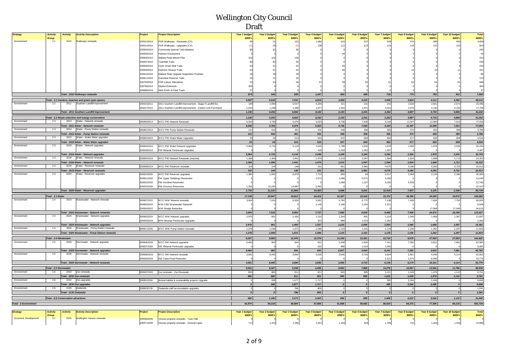| <b>Strategy</b>              | <b>Activity</b>        | <b>Activity</b><br><b>Activity Description</b>                             | Project    | <b>Project Description</b>                                 | Year 1 budget    | Year 2 budget    | Year 3 budget        | Year 4 budget   | <b>Year 5 budget</b> | Year 6 budget            | Year 7 budget        | Year 8 budget    | Year 9 budget        | Year 10 budget   | Total          |
|------------------------------|------------------------|----------------------------------------------------------------------------|------------|------------------------------------------------------------|------------------|------------------|----------------------|-----------------|----------------------|--------------------------|----------------------|------------------|----------------------|------------------|----------------|
|                              | Group                  |                                                                            |            |                                                            | \$000's          | \$000's          | \$000's              | \$000's         | \$000's              | \$000's                  | \$000's              | \$000's          | \$000's              | \$000's          | \$000's        |
| Environment                  | 2.1                    | 2010<br>Walkways renewals                                                  | 2000132010 | PSR Walkways - Renewals (CX)                               |                  | 21               | 152                  | 1,082           | 515                  | 527                      | 539                  | 574              | 588                  | 603              | 4,658          |
|                              |                        |                                                                            | 2000142010 | PSR Walkways - Upgrades (CX)                               |                  | 30               |                      | 10 <sub>5</sub> | 111                  | 113                      | 116                  | 119              | 122                  | 125              | 843            |
|                              |                        |                                                                            | 2006042010 | Community Special Trail Initiatives                        |                  | 82               |                      |                 |                      |                          |                      |                  |                      |                  | 245            |
|                              |                        |                                                                            | 2006052010 | Harbour Escaroment                                         |                  |                  |                      |                 |                      |                          |                      |                  |                      |                  | $\Delta\Delta$ |
|                              |                        |                                                                            | 2006062010 | Makara Peak Master Plan                                    |                  | 104              |                      |                 |                      |                          |                      |                  |                      |                  | 312            |
|                              |                        |                                                                            | 2006072010 | ownbelt Trails                                             |                  |                  |                      |                 |                      |                          |                      |                  |                      |                  | 245            |
|                              |                        |                                                                            | 2006082010 |                                                            |                  |                  |                      |                 |                      |                          |                      |                  |                      |                  | 234            |
|                              |                        |                                                                            |            | Outer Green Belt Trails                                    |                  |                  |                      |                 |                      |                          |                      |                  |                      |                  | 251            |
|                              |                        |                                                                            | 2006092010 | <b>Vorthern Reseve Trails</b>                              |                  |                  |                      |                 |                      |                          |                      |                  |                      |                  |                |
|                              |                        |                                                                            | 2006102010 | Makara Peak Upgrade Supporters Priorities                  |                  |                  |                      |                 |                      |                          |                      |                  |                      |                  | 86             |
|                              |                        |                                                                            | 2006112010 | Suburban Reserve Trails                                    |                  |                  |                      |                 |                      |                          |                      |                  |                      |                  | 122            |
|                              |                        |                                                                            | 2007032010 | <b>PSR Labour Allocations</b>                              |                  |                  |                      |                 |                      |                          |                      |                  |                      |                  | 589            |
|                              |                        |                                                                            | 2007852010 | <b>Skyline Extension</b>                                   | 300              |                  |                      |                 |                      |                          |                      |                  |                      |                  | 300            |
|                              |                        |                                                                            | 2008802010 | Abel Smith St Park Track                                   | 37               |                  |                      |                 |                      |                          |                      |                  |                      |                  | 37             |
|                              |                        | Total - 2010 Walkways renewals                                             |            |                                                            | 874              | 544              | 655                  | 1,247           | 850                  | 699                      | 716                  | 774              | 792                  | 812              | 7,965          |
|                              |                        | Total - 2.1 Gardens, beaches and green open spaces                         |            |                                                            | 5.847            | 5.616            | 7.031                | 6.819           | 2.666                | 4.222                    | 3,995                | 3.824            | 4.111                | 4.081            | 48,211         |
| Environment                  | 2.2                    | Southern Landfill Improvement<br>2011                                      | 2000152011 | 2011 Southern Landfill Improvement - Stage 4 Landfill Ext  | 169              | 2,994            | 5,557                | 6,265           | 221                  | 231                      | 241                  | 2,532            | 2,601                | 2.674            | 23,486         |
|                              |                        |                                                                            | 2000172011 | 2011 Southern Landfill Improvement - Carbon Unit Purchases | 1.022            | 1.258            | 1.286                | 1.877           | 1.922                | 1.971                    | 2.021                | 2.075            | 2.132                | 2.192            | 17,756         |
|                              |                        | Total - 2011 Southern Landfill Improvement                                 |            |                                                            | 1,192            | 4,252            | 6,842                | 8,142           | 2,143                | 2,201                    | 2,262                | 4,607            | 4,733                | 4,866            | 41,242         |
|                              |                        |                                                                            |            |                                                            |                  |                  |                      |                 |                      |                          |                      |                  |                      |                  |                |
|                              |                        | Total - 2.2 Waste reduction and energy conservation                        |            |                                                            | 1.192            | 4.252            | 6.842                | 8.142           | 2.143                | 2,201                    | 2,262                | 4.607            | 4,733                | 4,866            | 41,242         |
| Environment                  | 2.3                    | 2013 Water - Network renewals                                              |            | 2008002013 WCC PW Network Renewals                         | 6.592            | 4.783            | 5,076                | 5,023           | 5.736                | 7.536                    | 9.104                | 12.307           | 12.990               | 7.912            | 77,059         |
|                              |                        | Total - 2013 Water - Network renewals                                      |            |                                                            | 6,592            | 4,783            | 5,076                | 5,023           | 5,736                | 7,536                    | 9,104                | 12,307           | 12,990               | 7,912            | 77,059         |
| Environment                  | 2.3                    | 2014 Water - Pump Station renewals                                         | 2008012014 | <b>WCC PW Pump Station Renewals</b>                        | 141              | 542              | 451                  | 431             | 348                  | 356                      | 365                  | 374              | 384                  | 395              | 3,788          |
|                              |                        | Total - 2014 Water - Pump Station renewals                                 |            |                                                            | 141              | 542              | 451                  | 431             | 348                  | 356                      | 365                  | 374              | 384                  | 395              | 3,788          |
| Environment                  | 2.3                    | 2015 Water - Water Meter upgrades                                          | 2008022015 | WCC PW Water Meter Upgrades                                | 25               | 26               | 513                  | 524             | 537                  | 550                      | 564                  | 577              | 592                  | 608              | 4,516          |
|                              |                        | Total - 2015 Water - Water Meter upgrades                                  |            |                                                            | 25               | 26               | 513                  | 524             | 537                  | 550                      | 564                  | 577              | 592                  | 608              | 4,516          |
| Environment                  | 2.3                    | 2016<br>Water - Network upgrades                                           | 2008032016 | <b>NCC PW Water Network Upgrades</b>                       | 5,964            | 5,716            | 5,119                | 2,020           | 1,789                | 1,832                    | 1,876                | 1,926            | 1,978                | 2,035            | 30,256         |
|                              |                        |                                                                            | 2008282016 | PW Miramar Peninsular Upgrades                             |                  |                  |                      | 429             | 1,319                | 1,352                    | 1,387                |                  |                      |                  | 4,487          |
|                              |                        | Total - 2016 Water - Network upgrades                                      |            |                                                            | 5.964            | 5,716            | 5,119                | 2.449           | 3,108                | 3,184                    | 3.263                | 1,926            | 1.978                | 2.035            | 34,743         |
| Environment                  | 2.3                    | 2018 Water - Network renewals                                              | 2008042018 | WCC PW Network Renewals (reactive)                         | 1,366            | 1,406            | 1,441                | 1,474           | 1,510                | 1,547                    | 1,584                | 1,624            | 1.668                | 1.713            | 15,332         |
|                              |                        | Total - 2018 Water - Network renewals                                      |            |                                                            | 1,366            | 1,406            | 1,441                | 1,474           | 1,510                | 1,547                    | 1,584                | 1,624            | 1,668                | 1,713            | 15,332         |
| Environment                  | 2.3                    | 2019 Water - Reservoir renewals                                            | 2008092019 | WCC PW Reservoir renewals                                  | 319              | 144              | 148                  | 151             | 901                  | 3,981                    | 4,075                | 4,180            | 4,292                | 4,722            | 22,913         |
|                              |                        |                                                                            |            |                                                            |                  | 144              | 148                  | 151             |                      |                          |                      | 4,180            |                      |                  |                |
| Environment                  | 2.3                    | Total - 2019 Water - Reservoir renewals<br>2020 Water - Reservoir upgrades |            |                                                            | 319              |                  |                      |                 | 901                  | 3,981                    | 4,075                |                  | 4,292                | 4,722            | 22,913         |
|                              |                        |                                                                            | 2008102020 | <b>NCC PW Reservoir upgrades</b>                           | 1,380            | 1,081            | 6,878                | 7,710           | 850                  | 64                       | 2,017                | 2,069            | 2,125                | 2,186            | 26,360         |
|                              |                        |                                                                            | 2008312020 | PW Upper Stebbings Reservoire                              |                  |                  |                      | 1,073           | 1,099                | 5,071                    | 5,200                |                  |                      |                  | 12,443         |
|                              |                        |                                                                            | 2008322020 | PW Horokiwi Reservoire                                     |                  |                  |                      |                 | 1,099                | 1,127                    | 5,200                | 5,339            |                      |                  | 12,765         |
|                              |                        |                                                                            | 2008762020 | PW Omororo Reservoire                                      | 1.350            | 10,250           | 14,987               | 5,580           |                      |                          |                      |                  |                      |                  | 32,167         |
|                              |                        | Total - 2020 Water - Reservoir upgrades                                    |            |                                                            | 2.730            | 11.331           | 21,866               | 14.363          | 3.048                | 6.261                    | 12.418               | 7.407            | 2.125                | 2.186            | 83,734         |
|                              | Total - 2.3 Water      |                                                                            |            |                                                            | 17,138           | 23,947           | 34,613               | 24,415          | 15,187               | 23,416                   | 31,372               | 28,396           | 24,029               | 19,572           | 242,085        |
| Environmen                   | 2.4                    | 2023<br>Wastewater - Network renewals                                      | 2008072023 | WCC WW Network renewals                                    | 3.954            | 7.919            | 9.954                | 5.591           | 5,782                | 6,772                    | 7.168                | 7.408            | 7.606                | 7,750            | 69,903         |
|                              |                        |                                                                            | 2008302023 | WW CBD Wastewater Pinework                                 |                  |                  |                      | 2.146           | 2.198                | 2,254                    | 2,311                |                  |                      |                  | 8,909          |
|                              |                        |                                                                            | 2008342023 | <b>WW Sludge Reduction</b>                                 |                  |                  |                      |                 |                      |                          |                      |                  | 17.066               | 17.549           | 34,615         |
|                              |                        | Total - 2023 Wastewater - Network renewals                                 |            |                                                            | 3,954            | 7,919            | 9,954                | 7,737           | 7,980                | 9,025                    | 9,480                | 7,408            | 24,672               | 25,299           | 113,427        |
| Environment                  | 2.4                    | Wastewater - Network upgrades<br>2024                                      | 2008052024 | WCC WW Network upgrades                                    | 2.975            | 901              | 1,450                | 1,215           | 1.244                | 991                      | 1,014                | 1,040            | 1,068                | 1.097            | 12,997         |
|                              |                        |                                                                            | 2008292024 | WW Miramar Peninsular Upgrades                             |                  |                  |                      | 322             | 989                  | 1.014                    | 1.040                |                  |                      |                  | 3,365          |
|                              |                        | Total - 2024 Wastewater - Network upgrades                                 |            |                                                            | 2,975            | 901              | 1,450                | 1,537           | 2,233                | 2,005                    | 2,054                | 1,040            | 1.068                | 1,097            | 16,362         |
| Environment                  | 2.4                    | 2026 Wastewater - Pump Station renewals                                    | 2008112026 | WCC WW Pump Station renewals                               | 1,378            | 1,046            | 1,072                | 1,096           | 1,123                | 1,151                    | 1,178                | 1,230            | 1,262                | 1,297            | 11,833         |
|                              |                        |                                                                            |            |                                                            |                  | 1.046            |                      |                 |                      |                          |                      |                  | 1,262                |                  |                |
|                              |                        | Total - 2026 Wastewater - Pump Station renewals                            |            |                                                            | 1,378            |                  | 1,072                | 1,096           | 1,123                | 1,151                    | 1,178                | 1,230            |                      | 1,297            | 11,833         |
|                              | Total - 2.4 Wastewater |                                                                            |            |                                                            | 8.307            | 9,866            | 12,476               | 10,370          | 11,336               | 12,181                   | 12,712               | 9,678            | 27,003               | 27,693           | 141,622        |
| Environment                  | 2.5                    | 2028<br>Stormwater - Network upgrades                                      | 2008062028 | WCC SW Network upgrades                                    | 6,460            | 902              | 554                  | 621             | 5,058                | 2,920                    | 7,101                | 7,283            | 3,815                | 7,681            | 42,395         |
|                              |                        |                                                                            | 2008272028 | SW Miramar Peninsular Upgrades                             |                  |                  |                      | 322             | 989                  | 1,014                    | 1.040                |                  |                      |                  | 3,365          |
|                              |                        | Total - 2028 Stormwater - Network upgrades                                 |            |                                                            | 6,460            | 902              | 554                  | 943             | 6,047                | 3,934                    | 8,141                | 7,283            | 3,815                | 7,681            | 45,760         |
| Environment                  | 2.5                    | Stormwater - Network renewals<br>2029                                      | 2008082029 | WCC SW Network renewals                                    | 3,081            | 8.445            | 3,694                | 3,556           | 3,645                | 3,733                    | 3,824                | 3.901            | 4.006                | 4,114            | 42,000         |
|                              |                        |                                                                            | 2008332029 | SW Tawa Flood Reduction                                    |                  |                  |                      | $\Omega$        |                      |                          | 2,311                | 2,373            | 6,095                |                  | 10,779         |
|                              |                        | Total - 2029 Stormwater - Network renewals                                 |            |                                                            | 3,081            | 8,445            | 3,694                | 3,556           | 3,645                | 3,733                    | 6,135                | 6,274            | 10,101               | 4,114            | 52,779         |
|                              |                        |                                                                            |            |                                                            |                  |                  |                      |                 |                      |                          |                      |                  |                      |                  |                |
|                              | Total - 2.5 Stormwate. |                                                                            |            |                                                            | 9,541            | 9,347            | 4,248                | 4,499           | 9,692                | 7,668                    | 14,276               | 13,557           | 13,916               | 11,796           | 98,539         |
| Environment                  | 2.6                    | 2033 Zoo renewals                                                          |            | 2000672033 Zoo renewals - Zoo Renewals                     | 850              | 882              | 911                  | 921             | 945                  | 995                      | 1,021                | 1,049            | 1,078                | 1,110            | 9,761          |
|                              |                        | Total - 2033 Zoo renewals                                                  |            |                                                            | 850              | 882              | 911                  | 921             | 945                  | 995                      | 1,021                | 1,049            | 1,078                | 1,110            | 9,761          |
| Environment                  | 2.6                    | 2034 Zoo upgrades                                                          | 2008522034 | Animal habitat & sustainability projects Upgrade           | $\Omega$         | 308              | 1.677                | 1,717           | $\overline{0}$       | $\overline{\phantom{a}}$ | 385                  | 3.164            | 2.438                | $\Omega$         | 9,688          |
|                              |                        | Total - 2034 Zoo upgrades                                                  |            |                                                            | $\boldsymbol{o}$ | 308              | 1,677                | 1,717           | $\boldsymbol{o}$     | o                        | 385                  | 3,164            | 2,438                | $\sqrt{ }$       | 9,688          |
| Environment                  | 2.6                    | 2135 Zealandia                                                             |            | 2008532135 Zealandia staff accomodation upgrades           | $\Omega$         | $\mathbf 0$      | 786                  | 805             | $\,$ 0               | $\circ$                  | $\circ$              | $\Omega$         |                      |                  | 1,591          |
|                              |                        | Total - 2135 Zealandia                                                     |            |                                                            | $\boldsymbol{o}$ | $\boldsymbol{o}$ | 786                  | 805             | $\mathfrak{o}$       | $\boldsymbol{o}$         | $\boldsymbol{o}$     | $\boldsymbol{o}$ | $\boldsymbol{o}$     | $\boldsymbol{o}$ | 1,591          |
|                              |                        | <b>Total - 2.6 Conservation attractions</b>                                |            |                                                            | 850              | 1,190            | 3,373                | 3,443           | 945                  | 995                      | 1,406                | 4,212            | 3,516                | 1,110            | 21,040         |
|                              |                        |                                                                            |            |                                                            |                  |                  |                      |                 |                      |                          |                      |                  |                      |                  |                |
| <b>Total - 2 Environment</b> |                        |                                                                            |            |                                                            | 42,874           | 54,218           | 68,584               | 57,688          | 41,968               | 50,682                   | 66,024               | 64,275           | 77,308               | 69,118           | 592,739        |
|                              |                        |                                                                            |            |                                                            |                  |                  |                      |                 |                      |                          |                      |                  |                      |                  |                |
| <b>Strategy</b>              | <b>Activity</b>        | <b>Activity</b><br><b>Activity Description</b>                             | roject     | <b>Project Description</b>                                 | Year 1 budget    | Year 2 budget    | <b>Year 3 budget</b> | Year 4 budget   | Year 5 budget        | Year 6 budget            | <b>Year 7 budget</b> | Year 8 budget    | <b>Year 9 budget</b> | Year 10 budget   | Total          |
| Economic Development         | Group<br>3.1           | 2035<br>Wellington Venues renewals                                         |            |                                                            | \$000's          | \$000's          | \$000's              | \$000's         | \$000's              | \$000's                  | \$000's              | \$000's          | \$000's              | \$000's          | \$000's        |
|                              |                        |                                                                            | 2000692035 | Venues property renewals - Town Hall                       |                  |                  |                      |                 |                      |                          |                      |                  |                      |                  |                |
|                              |                        |                                                                            | 2000712035 | Venues property renewals - General capex                   | 717              | 1,222            | 1,296                | 1,467           | 1,183                | 203                      | 1,328                | 741              | 1,404                | 1,439            | 10,999         |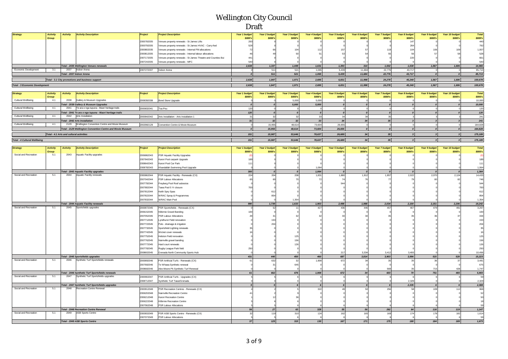| <b>Strategy</b>                       | <b>Activity</b><br>Group | <b>Activity</b>                          | <b>Activity Description</b>                                | Project    | <b>Project Description</b>                                   | Year 1 budget<br>\$000's | Year 2 budget<br>\$000's | Year 3 budget<br>\$000's | Year 4 budget<br><b>SOOO's</b> | Year 5 budget<br>\$000's | Year 6 budget<br>\$000's | Year 7 budget<br><b>SOOO's</b> | Year 8 budget<br>\$000's        | Year 9 budget<br>\$000's        | Year 10 budget<br>\$000's | <b>Total</b><br>\$000's                       |
|---------------------------------------|--------------------------|------------------------------------------|------------------------------------------------------------|------------|--------------------------------------------------------------|--------------------------|--------------------------|--------------------------|--------------------------------|--------------------------|--------------------------|--------------------------------|---------------------------------|---------------------------------|---------------------------|-----------------------------------------------|
|                                       |                          |                                          |                                                            | 2000782035 | /enues property renewals - St James Lifts                    | 293                      |                          |                          |                                |                          |                          |                                | 147                             |                                 |                           | 440                                           |
|                                       |                          |                                          |                                                            | 2000792035 | /enues property renewals - St James HVAC - Carry-fwd         | 528                      |                          |                          |                                |                          |                          |                                | 264                             |                                 |                           | 792                                           |
|                                       |                          |                                          |                                                            |            |                                                              |                          |                          |                          |                                |                          |                          |                                |                                 |                                 |                           |                                               |
|                                       |                          |                                          |                                                            | 2000802035 | Venues property renewals - Internal FM allocations           |                          |                          |                          | 112                            | 157                      |                          |                                |                                 |                                 |                           | 1,007                                         |
|                                       |                          |                                          |                                                            | 2000812035 | Venues property renewals - Internal labour allocations       |                          |                          |                          |                                | 53                       |                          |                                |                                 |                                 |                           | 528                                           |
|                                       |                          |                                          |                                                            | 2007172035 | Venues property renewals - St James Theatre and Counties Bui | 44                       |                          |                          |                                |                          |                          |                                | 220                             |                                 |                           | 661                                           |
|                                       |                          |                                          |                                                            | 2007242035 | Venues property renewals - MFC                               | 540                      |                          |                          |                                |                          |                          |                                |                                 |                                 |                           | 540                                           |
|                                       |                          |                                          | Total - 2035 Wellington Venues renewals                    |            |                                                              | 2,638                    | 1,337                    | 1,449                    | 1,631                          | 1,393                    | 314                      | 1,502                          | 1,530                           | 1,567                           | 1,606                     | 14,965                                        |
| Economic Development                  | 3.1                      |                                          | 2037 Indoor Arena                                          | 2007272037 | Indoor Arena                                                 |                          | 511                      | 521                      | 1,065                          | 5,439                    | 11,684                   | 22,776                         | 43,717                          |                                 |                           | 85,713                                        |
|                                       |                          |                                          |                                                            |            |                                                              |                          |                          |                          |                                |                          |                          |                                |                                 |                                 |                           |                                               |
|                                       |                          |                                          | Total - 2037 Indoor Arena                                  |            |                                                              | $\boldsymbol{0}$         | 511                      | 521                      | 1,065                          | 5,439                    | 11,684                   | 22,776                         | 43,717                          | $\Omega$                        | $\boldsymbol{0}$          | 85,713                                        |
|                                       |                          |                                          | Total - 3.1 City promotions and business support           |            |                                                              | 2,638                    | 1,847                    | 1,971                    | 2,695                          | 6,831                    | 11,998                   | 24,278                         | 45,248                          | 1,567                           | 1,606                     | 100,678                                       |
|                                       |                          |                                          |                                                            |            |                                                              |                          |                          |                          |                                |                          |                          |                                |                                 |                                 |                           |                                               |
| <b>Total - 3 Economic Development</b> |                          |                                          |                                                            |            |                                                              | 2,638                    | 1,847                    | 1,971                    | 2,695                          | 6,831                    | 11,998                   | 24,278                         | 45,248                          | 1,567                           | 1,606                     | 100,678                                       |
|                                       |                          |                                          |                                                            |            |                                                              |                          |                          |                          |                                |                          |                          |                                |                                 |                                 |                           |                                               |
| <b>Strategy</b>                       | <b>Activity</b>          | <b>Activity</b>                          | <b>Activity Description</b>                                | Project    | <b>Project Description</b>                                   | Year 1 budget            | Year 2 budget            | Year 3 budget            | Year 4 budget                  | Year 5 budget            | Year 6 budget            | Year 7 budget                  | Year 8 budget                   | Year 9 budget                   | Year 10 budget            | <b>Total</b>                                  |
|                                       | Group                    |                                          |                                                            |            |                                                              | <b>S000's</b>            | \$000's                  | \$000's                  | \$000's                        | \$000's                  | \$000's                  | <b>SOOO's</b>                  | \$000's                         | <b>\$000's</b>                  | \$000's                   | \$000's                                       |
| Cultural Wellbeing                    | 4.1                      | 2038                                     | Gallery & Museum Upgrades                                  | 2008392038 | <b>Bond Store Upgrade</b>                                    |                          |                          | 5,000                    | 5,000                          |                          |                          |                                |                                 |                                 |                           | 10,000                                        |
|                                       |                          |                                          | Total - 2038 Gallery & Museum Upgrades                     |            |                                                              | $\boldsymbol{0}$         | $\overline{a}$           | 5,000                    | 5,000                          | $\boldsymbol{o}$         | $\boldsymbol{0}$         | $\boldsymbol{o}$               |                                 |                                 | $\boldsymbol{0}$          | 10,000                                        |
| Cultural Wellbeing                    | 4.1                      | 2041                                     | Te ara o nga tupuna - Maori heritage trails                | 2000832041 | Toa Pou                                                      | 120                      |                          |                          | $\mathbf 0$                    | $\overline{0}$           | $\Omega$                 | $\mathbf 0$                    |                                 |                                 |                           | 120                                           |
|                                       |                          |                                          |                                                            |            |                                                              | 120                      | $\overline{a}$           | $\overline{a}$           | $\boldsymbol{o}$               | $\boldsymbol{o}$         | $\boldsymbol{o}$         | $\boldsymbol{o}$               | $\Omega$                        | $\Omega$                        | $\boldsymbol{o}$          | 120                                           |
| Cultural Wellbeing                    | 4.1                      |                                          | Total - 2041 Te ara o nga tupuna - Maori heritage trails   |            |                                                              |                          |                          |                          |                                |                          |                          |                                |                                 |                                 |                           |                                               |
|                                       |                          | 2042                                     | Arts Installation                                          | 2000842042 | Arts Installation - Arts Installation 1                      | 31                       | 32                       | 32                       | 33                             | 34                       | 34                       | 35                             | $\mathbf{3}$                    |                                 |                           | 241                                           |
|                                       |                          |                                          | Total - 2042 Arts Installation                             |            |                                                              | 31                       | 32                       | 32                       | 33                             | 34                       | 34                       | 35                             | $\overline{\mathbf{3}}$         |                                 | $\overline{\mathbf{3}}$   | 241                                           |
| Cultural Wellbeing                    | 4.1                      |                                          | 2129 Wellington Convention Centre and Movie Museum         |            | 2002982129 Convention Centre & Movie Museum                  | $\circ$                  | 15,955                   | 48,614                   | 73,604                         | 26,655                   | $\circ$                  | $\circ$                        |                                 |                                 | $\mathbf 0$               | 164,828                                       |
|                                       |                          |                                          | Total - 2129 Wellington Convention Centre and Movie Museum |            |                                                              | o                        | 15,955                   | 48,614                   | 73,604                         | 26,655                   | $\circ$                  | $\mathfrak{o}$                 |                                 | $\Omega$                        | $\circ$                   | 164,828                                       |
|                                       |                          |                                          |                                                            |            |                                                              |                          |                          |                          |                                |                          |                          |                                |                                 |                                 |                           |                                               |
|                                       |                          | Total - 4.1 Arts and cultural activities |                                                            |            |                                                              | 151                      | 15,987                   | 53,646                   | 78,637                         | 26,689                   | 34                       | 35                             | $\overline{\mathbf{a}}$         | $\overline{\mathbf{3}}$         | 3 <sup>1</sup>            | 175,189                                       |
| <b>Total - 4 Cultural Wellbeing</b>   |                          |                                          |                                                            |            |                                                              | 151                      | 15,987                   | 53,646                   | 78,637                         | 26,689                   | 34                       | 35                             | $\overline{\mathbf{3}}$         | 3                               | $\overline{\mathbf{3}}$   | 175,189                                       |
|                                       |                          |                                          |                                                            |            |                                                              |                          |                          |                          |                                |                          |                          |                                |                                 |                                 |                           |                                               |
|                                       |                          |                                          |                                                            |            |                                                              |                          |                          |                          |                                |                          |                          |                                |                                 |                                 |                           |                                               |
| <b>Strategy</b>                       | <b>Activity</b><br>Group | <b>Activity</b>                          | <b>Activity Description</b>                                | Project    | <b>Project Description</b>                                   | Year 1 budget<br>\$000's | Year 2 budget<br>\$000's | Year 3 budget<br>\$000's | Year 4 budget<br><b>S000's</b> | Year 5 budget<br>\$000's | Year 6 budget<br>\$000's | Year 7 budget<br><b>SOOO's</b> | Year 8 budget<br><b>\$000's</b> | Year 9 budget<br><b>\$000's</b> | Year 10 budget<br>\$000's | <b>Total</b><br>\$000's                       |
| Social and Recreation                 | 5.1                      | 2043                                     | Aquatic Facility upgrades                                  | 2006862043 | PSR Aquatic Facility Upgrades                                |                          |                          |                          |                                |                          |                          |                                |                                 |                                 |                           |                                               |
|                                       |                          |                                          |                                                            |            |                                                              |                          |                          |                          |                                |                          |                          |                                |                                 |                                 |                           | (0)                                           |
|                                       |                          |                                          |                                                            | 2007842043 | Karori Pool carpark Upgrade                                  | 189                      |                          |                          |                                |                          |                          |                                |                                 |                                 |                           | 189                                           |
|                                       |                          |                                          |                                                            | 2008642043 | Karori Pool Car Park                                         | 11                       |                          |                          |                                |                          |                          |                                |                                 |                                 |                           | 111                                           |
|                                       |                          |                                          |                                                            | 2008782043 | Khandallah Swimming Pool Upgrade                             |                          |                          |                          | 1.064                          |                          |                          |                                |                                 |                                 |                           | 1.064                                         |
|                                       |                          |                                          | Total - 2043 Aquatic Facility upgrades                     |            |                                                              | 300                      | $\boldsymbol{a}$         |                          | 1,064                          | $\boldsymbol{o}$         | $\Omega$                 | $\Omega$                       |                                 |                                 | $\boldsymbol{0}$          | 1,364                                         |
| Social and Recreation                 | 5.1                      | 2044                                     | Aquatic Facility renewals                                  | 2000862044 | PSR Aquatic Facility - Renewals (CX)                         | 224                      | 204                      | 208                      | 1,831                          | 1,880                    | 1,912                    | 1,957                          | 2,022                           | 2,070                           | 2,124                     | 14,433                                        |
|                                       |                          |                                          |                                                            | 2007042044 | PSR Labour Allocations                                       | 65                       |                          |                          | 72                             | 74                       |                          |                                |                                 |                                 |                           | 746                                           |
|                                       |                          |                                          |                                                            |            |                                                              |                          |                          |                          |                                |                          |                          |                                |                                 |                                 |                           |                                               |
|                                       |                          |                                          |                                                            | 2007792044 | reyberg Pool Roof asbestos                                   |                          |                          |                          |                                | 544                      |                          |                                |                                 |                                 |                           | 544                                           |
|                                       |                          |                                          |                                                            | 2007802044 | Tawa Pool 5 Yr closure                                       | 700                      |                          |                          |                                |                          |                          |                                |                                 |                                 |                           | 700                                           |
|                                       |                          |                                          |                                                            | 2007812044 | Keith Spry Spas                                              |                          | 612                      |                          |                                |                          |                          |                                |                                 |                                 |                           | 612                                           |
|                                       |                          |                                          |                                                            | 2007822044 | <b>WRAC Spray &amp; Programmes</b>                           |                          | 854                      |                          |                                |                          |                          |                                |                                 |                                 |                           | 854                                           |
|                                       |                          |                                          |                                                            | 2007832044 | WRAC Main Pool                                               |                          |                          | 1,354                    |                                |                          |                          |                                |                                 |                                 |                           | 1,354                                         |
|                                       |                          |                                          | <b>Total - 2044 Aquatic Facility renewals</b>              |            |                                                              | 990                      | 1,739                    | 1,633                    | 1,903                          | 2,498                    | 1,988                    | 2,034                          | 2,100                           | 2,151                           | 2,206                     | 19,242                                        |
| Social and Recreation                 | 5.1                      | 2045                                     | Sportsfields upgrades                                      |            |                                                              |                          |                          |                          |                                |                          |                          |                                |                                 |                                 |                           |                                               |
|                                       |                          |                                          |                                                            | 2000872045 | PSR Sportsfields - Renewals (CX)                             |                          | 52                       |                          | 427                            | 436                      | 446                      | 457                            |                                 | 479                             | 491                       | 3,267                                         |
|                                       |                          |                                          |                                                            | 2006152045 | <b>ilbirnie Gravel Banding</b>                               |                          |                          |                          |                                |                          |                          |                                |                                 |                                 |                           | 100                                           |
|                                       |                          |                                          |                                                            | 2007052045 | PSR Labour Allocations                                       |                          | 31                       |                          |                                | 33                       |                          |                                |                                 |                                 |                           | 334                                           |
|                                       |                          |                                          |                                                            | 2007712045 | Lyndhurst Field renovation                                   |                          | 153                      |                          |                                |                          |                          |                                |                                 |                                 |                           | 153                                           |
|                                       |                          |                                          |                                                            | 2007722045 | Polo - drainage & irrigation                                 |                          | 204                      |                          |                                |                          |                          |                                |                                 |                                 |                           | ${\bf 204}$                                   |
|                                       |                          |                                          |                                                            | 2007732045 | Sportsfield Lighting renewals                                |                          |                          |                          |                                |                          |                          |                                |                                 |                                 |                           | $35\,$                                        |
|                                       |                          |                                          |                                                            | 2007742045 | Wicket cover renewals                                        |                          |                          |                          |                                |                          |                          |                                |                                 |                                 |                           | 16                                            |
|                                       |                          |                                          |                                                            |            |                                                              |                          |                          |                          |                                |                          |                          |                                |                                 |                                 |                           |                                               |
|                                       |                          |                                          |                                                            | 2007752045 | <b>Ielston Field renovation</b>                              |                          |                          |                          |                                |                          |                          |                                |                                 |                                 |                           | 125                                           |
|                                       |                          |                                          |                                                            | 2007762045 | Nairnville gravel banding                                    |                          |                          |                          |                                |                          |                          |                                |                                 |                                 |                           | 156                                           |
|                                       |                          |                                          |                                                            | 2007772045 | Hard court renewals                                          |                          |                          |                          |                                |                          |                          |                                |                                 |                                 |                           | 126                                           |
|                                       |                          |                                          |                                                            | 2007782045 | Rugby League Park field                                      | クら                       |                          |                          |                                |                          |                          |                                |                                 |                                 |                           | 250                                           |
|                                       |                          |                                          |                                                            | 2008602045 | Grenada North Community Sports Hub                           |                          |                          |                          |                                | 217                      | 3,334                    | 3,412                          | 3,493                           |                                 |                           | 10,456                                        |
|                                       |                          |                                          | Total - 2045 Sportsfields upgrades                         |            |                                                              | 431                      | 440                      | 450                      | 460                            | 687                      | 3,814                    | 3,903                          | 3,996                           | 515                             | 528                       | 15,223                                        |
| Social and Recreation                 | $-5.1$                   |                                          | 2046 Synthetic Turf Sportsfields renewals                  | 2000892046 | PSR Artificial Turfs - Renewals (CX)                         |                          | 632                      | 32                       | 1,908                          | 672                      | 34                       | 35                             | 35                              |                                 | $\overline{3}$            | 3,481                                         |
|                                       |                          |                                          |                                                            | 2007682046 |                                                              |                          |                          |                          |                                |                          |                          |                                |                                 |                                 |                           | 675                                           |
|                                       |                          |                                          |                                                            |            | e Whaea Synthetic renewal                                    |                          | 31                       | 645                      |                                |                          |                          |                                |                                 |                                 |                           |                                               |
|                                       |                          |                                          |                                                            | 2008682046 | Alex Moore Pk Synthetic Turf Renewal                         |                          |                          |                          |                                |                          |                          | 569                            | 35                              | 715                             | 428                       | 1,747                                         |
|                                       |                          |                                          | Total - 2046 Synthetic Turf Sportsfields renewals          |            |                                                              | 61                       | 662                      | 676                      | 1,908                          | 672                      | 34                       | 603                            | 70                              | 751                             | 465                       | 5,903                                         |
| Social and Recreation                 | 5.1                      | 2047                                     | Synthetic Turf Sportsfields upgrades                       | 2000902047 | PSR Artificial Turfs - Upgrades (CX)                         |                          |                          |                          |                                |                          |                          |                                |                                 |                                 |                           | 59                                            |
|                                       |                          |                                          |                                                            | 2008712047 | Synthetic Turf Tawa/Grenada                                  |                          |                          |                          |                                |                          |                          |                                | 2.329                           |                                 |                           | 2,329                                         |
|                                       |                          |                                          | Total - 2047 Synthetic Turf Sportsfields upgrades          |            |                                                              | $\overline{5}$           | 5                        |                          | 6 <sup>1</sup>                 | 6                        | 6 <sup>1</sup>           | 6                              | 2,335                           |                                 | 6                         | 2,388                                         |
|                                       | 5.1                      |                                          | 2048 Recreation Centre Renewal                             |            |                                                              |                          |                          |                          |                                |                          |                          |                                |                                 |                                 |                           |                                               |
| Social and Recreation                 |                          |                                          |                                                            | 2000912048 | PSR Recreation Centres - Renewals (CX)                       |                          |                          |                          | 322                            | 49                       |                          | 256                            |                                 |                                 | 112                       | 968                                           |
|                                       |                          |                                          |                                                            | 2006202048 | Naimville Recreation Centre                                  |                          |                          |                          |                                |                          |                          |                                |                                 |                                 |                           |                                               |
|                                       |                          |                                          |                                                            | 2006212048 | Karori Recreation Centre                                     |                          |                          |                          |                                |                          |                          |                                |                                 |                                 |                           | $\begin{array}{c} 52 \\ 50 \\ 18 \end{array}$ |
|                                       |                          |                                          |                                                            | 2006222048 | Kilbirnie Recreation Centre                                  |                          |                          |                          |                                |                          |                          |                                |                                 |                                 |                           |                                               |
|                                       |                          |                                          |                                                            | 2007062048 | <b>PSR Labour Allocations</b>                                |                          |                          |                          |                                |                          |                          |                                |                                 |                                 |                           | 59                                            |
|                                       |                          |                                          | <b>Total - 2048 Recreation Centre Renewal</b>              |            |                                                              | 56                       | $27\,$                   | 63                       | 328                            | 55                       | 56                       | 262                            | 64                              | 116                             | 119                       | 1,147                                         |
| Social and Recreation                 | 5.1                      | 2049                                     | <b>ASB Sports Centre</b>                                   |            |                                                              |                          |                          |                          |                                |                          |                          |                                | 174                             |                                 |                           |                                               |
|                                       |                          |                                          |                                                            | 2000932049 | PSR ASB Sports Centre - Renewals (CX)                        |                          | 119                      | 310                      | 124                            | 162                      | 165                      | 169                            |                                 |                                 | 182                       | 1,614                                         |
|                                       |                          |                                          |                                                            | 2007072049 | PSR Labour Allocations                                       |                          |                          |                          |                                |                          |                          |                                |                                 |                                 |                           | 59                                            |
|                                       |                          |                                          | Total - 2049 ASB Sports Centre                             |            |                                                              | 37                       | 125                      | 315                      | 130                            | 167                      | $171$                    | 175                            | 180                             | 184                             | 189                       | 1,673                                         |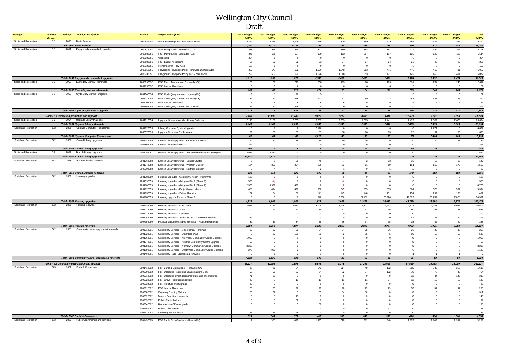| <b>Strategy</b>       | <b>Activity</b> | <b>Activity</b><br><b>Activity Description</b>                              | Project    | <b>Project Description</b>                                   | Year 1 budget  | Year 2 budget | Year 3 budget             | Year 4 budget    | Year 5 budget  | Year 6 budget | Year 7 budget | Year 8 budget  | Year 9 budget  | Year 10 budget  | <b>Total</b> |
|-----------------------|-----------------|-----------------------------------------------------------------------------|------------|--------------------------------------------------------------|----------------|---------------|---------------------------|------------------|----------------|---------------|---------------|----------------|----------------|-----------------|--------------|
|                       | Group           |                                                                             |            |                                                              | \$000's        | \$000's       | \$000's                   | \$000's          | \$000's        | \$000's       | \$000's       | \$000's        | \$000's        | \$000's         | \$000's      |
| Social and Recreation | 5.1             | 2050<br><b>Basin Reserve</b>                                                | 2000942050 | Basin Reserve (Balance of Master Plan)                       | 3.750          | 6.714         | 5.125                     | 266              | 326            | 389           | 739           | 466            | 477            | 489             | 18.741       |
|                       |                 | Total - 2050 Basin Reserve                                                  |            |                                                              | 3,750          | 6,714         | 5,125                     | 266              | 326            | 389           | 739           | 466            | 477            | 489             | 18,741       |
| Social and Recreation | 5.1             | 2051<br>Playgrounds renewals & upgrades                                     | 2000972051 | PSR Playgrounds - Renewals (CX)                              | 488            | 356           | 364                       | 372              | 380            | 388           | 397           | 472            | 484            | 496             | 4,198        |
|                       |                 |                                                                             | 2000982051 | PSR Playgrounds - Upgrades (CX)                              | 240            | 176           | 107                       | 10               | 112            | 284           | 117           | 120            | 123            | 126             | 1,514        |
|                       |                 |                                                                             | 2006282051 | Vakefield                                                    | 254            |               |                           |                  |                |               |               |                |                |                 | 254          |
|                       |                 |                                                                             |            |                                                              |                |               |                           |                  | 2 <sup>2</sup> | 24            |               |                |                |                 | 236          |
|                       |                 |                                                                             | 2007082051 | PSR Labour Allocations                                       |                |               |                           |                  |                |               |               |                |                |                 |              |
|                       |                 |                                                                             | 2008122051 | <b>Jewlands Park Play Area</b>                               |                |               |                           |                  |                |               |               |                |                |                 | 157          |
|                       |                 |                                                                             | 2008652051 | Playground Playspace Policy Renewals and Upgrades            | 229            | 647           | 692                       | 1.026            | 1.048          | 653           | 47            |                |                | 41              | 6,087        |
|                       |                 |                                                                             | 2008732051 | Playground Playspace Policy 12-15 Year Cycle                 | 229            | 637           | 692                       | 1,026            | 1.048          | 653           | 471           | 449            | 460            | 411             | 6,077        |
|                       |                 | Total - 2051 Playgrounds renewals & upgrades                                |            |                                                              | 1,617          | 1,838         | 1,877                     | 2,556            | 2,612          | 2,003         | 1,481         | 1,516          | 1,552          | 1,470           | 18,523       |
| Social and Recreation | 5.1             | 2052 Evans Bay Marina - Renewals                                            | 2000992052 | PSR Evans Bay Marina - Renewals (CX)                         | 103            | 60            | 713                       | 268              | 113            | 68            | 125           | 694            | 234            | 240             | 2,617        |
|                       |                 |                                                                             | 2007092052 | <b>PSR Labour Allocations</b>                                |                |               |                           |                  |                |               |               |                |                |                 | 59           |
|                       |                 | Total - 2052 Evans Bay Marina - Renewals                                    |            |                                                              | 108            | 65            | 719                       | 274              | 118            | 74            | 131           | 700            | 240            | 246             | 2,676        |
| Social and Recreation | 5.1             | 2053 Clyde Quay Marina - Upgrade                                            | 2001002053 | PSR Clyde Quay Marina - Upgrade (CX)                         |                |               | ${\bf 22}$                |                  |                |               |               |                |                |                 | 32           |
|                       |                 |                                                                             | 2003012053 | PSR Clyde Quay Marina - Renewal (CX)                         | 84             | 50            | 256                       | 123              | 63             | 59            | 72            | 258            | 121            | 125             | 1,210        |
|                       |                 |                                                                             | 2007102053 | PSR Labour Allocations                                       |                |               |                           |                  |                |               |               |                |                |                 | 59           |
|                       |                 |                                                                             | 2007662053 | PSR Clyde Quay Marina - FM renewals                          | 24             | 20            | 299                       |                  |                |               |               |                |                |                 | 343          |
|                       |                 | Total - 2053 Clyde Quay Marina - Upgrade                                    |            |                                                              | 114            | 77            | 582                       | 133              | 70             | 66            | 79            | 265            | 128            | 131             | 1,644        |
|                       |                 |                                                                             |            |                                                              |                |               |                           |                  |                |               |               |                |                |                 |              |
|                       |                 | Total - 5.1 Recreation promotion and support                                |            |                                                              | 7,469          | 11,692        | 11,445                    | 9,027            | 7,212          | 8,600         | 9,414         | 11,693         | 6,121          | 5,850           | 88,524       |
| Social and Recreation | 5.2             | 2054 Upgrade Library Materials                                              | 2001012054 | Upgrade Library Materials - Library Collection               | 2,146          | 2.189         | 2,235                     | 2,283            | 2,333          | 2,385         | 2,441         | 2,499          | 2,559          | 2,625           | 23,694       |
|                       |                 | <b>Total - 2054 Upgrade Library Materials</b>                               |            |                                                              | 2,146          | 2,189         | 2,235                     | 2,283            | 2,333          | 2,385         | 2,441         | 2,499          | 2,559          | 2,625           | 23,694       |
| Social and Recreation | 5.2             | Upgrade Computer Replacemen<br>2055                                         | 2001022055 | Library Computer System Upgrade                              |                |               |                           | 2,126            |                |               |               |                | 2,771          |                 | 4,897        |
|                       |                 |                                                                             | 2003372055 | Upgrade Computer Replacement                                 | R <sub>1</sub> | 83            | 85                        | R                | <b>RR</b>      | 90            | $\alpha$      | QF             | Q7             | 100             | RQR          |
|                       |                 | Total - 2055 Upgrade Computer Replacement                                   |            |                                                              | 81             | 83            | 85                        | 2,213            | 88             | 90            | 93            | 95             | 2,868          | 100             | 5,796        |
| Social and Recreation | 5.2             | 2056<br>Central Library upgrades                                            | 2001042056 | Central Library upgrades - Furniture Renewals                | 17             | 17            | 18                        |                  | 19             | 19            | 19            | 20             | 20             | 21              | 189          |
|                       |                 |                                                                             | 2005862056 | Central Library Refresh 3.0                                  | 291            |               |                           |                  |                |               |               |                |                |                 | 291          |
|                       |                 | Total - 2056 Central Library upgrades                                       |            |                                                              | 308            | 17            | 18                        | 18               | 19             | 19            | 19            | 20             | 20             | 21              | 480          |
| Social and Recreation | 5.2             | 2057 Branch Library upgrades                                                | 2001052057 | Branch Library upgrades - Johnsonville Library Redevelopment | 13,687         | 3,877         | $\Omega$                  |                  | $\Omega$       | $\circ$       | $\circ$       | $\Omega$       |                | $\Omega$        | 17,564       |
|                       |                 | Total - 2057 Branch Library upgrades                                        |            |                                                              | 13,687         | 3,877         | $\overline{\mathfrak{o}}$ | $\boldsymbol{0}$ | $\overline{0}$ | 0             | o             | $\overline{a}$ | $\overline{a}$ | $\overline{a}$  | 17,564       |
| Social and Recreation | 5.2             | <b>Branch Libraries renewals</b><br>2058                                    | 2001062058 | Branch Library Renewals - Central Cluster                    |                |               | 25                        | 40               |                |               | 13            | 15             |                | 16              | 147          |
|                       |                 |                                                                             | 2001072058 | Branch Library Renewals - Western Cluster                    | 124            | 302           | 294                       | 150              | 53             | 11            | 69            | 16             | 165            | 170             | 1,500        |
|                       |                 |                                                                             | 2005702058 | Branch Library Renewals - Northern Cluster                   |                |               |                           |                  |                |               |               |                |                |                 | 20           |
|                       |                 | Total - 2058 Branch Libraries renewals                                      |            |                                                              | 131            | 314           | 323                       | 192              | 61             | 14            | 83            | 179            | 183            | 188             | 1,666        |
| Social and Recreation | 5.2             | Housing upgrades<br>2059                                                    | 2001082059 | lousing upgrades - Community Action Programme                | 125            |               |                           |                  |                |               |               |                |                |                 | 125          |
|                       |                 |                                                                             | 2001092059 | Housing upgrades - Arlington Site 2 (Phase 1)                | 1,500          | (0)           |                           |                  |                |               |               |                |                |                 | 1,500        |
|                       |                 |                                                                             | 2001102059 | Housing upgrades - Arlington Site 1 (Phase 2)                | 2,336          | 5,999         | 427                       |                  |                |               |               |                |                |                 | 8,763        |
|                       |                 |                                                                             | 2001122059 | Housing upgrades - Project Mgmt Labour                       | 450            | 474           | 490                       | 530              | 545            | 555           | 565           | 56             | 575            | 587             | 5,334        |
|                       |                 |                                                                             |            |                                                              |                |               |                           | 14 <sup>°</sup>  | 145            |               |               | 154            |                |                 |              |
|                       |                 |                                                                             | 2001132059 | Housing upgrades - Salary Allocation                         | 127            | 134           | 137                       |                  |                | 148           | 151           |                | 157            | 160             | 1,452        |
|                       |                 |                                                                             | 2007982059 | Housing Upgrade Project - Phase 2                            |                |               |                           | 840              | 2,336          | 21,102        | 26,226        | 49,002         | 23,767         | 7,028           | 130,301      |
|                       |                 | Total - 2059 Housing upgrades<br>2060 Housing renewals                      |            |                                                              | 4,538          | 6,607         | 1,054                     | 1,511            | 3,026          | 21,805        | 26,942        | 49,719         | 24,498         | 7,774           | 147,475      |
| Social and Recreation | 5.2             |                                                                             | 2001182060 | lousing renewals - BAU Capex                                 | 2,923          | 3,124         | 4,013                     | 3,146            | 2,749          | 2,827         | 2,933         | 4,812          | 4,928          | 5,056           | 36,512       |
|                       |                 |                                                                             | 2001212060 | lousing renewals - Other                                     | 200            | 111           | 50                        |                  | $\mathcal{X}$  | 33            | 31            |                | 6              | 63              | 685          |
|                       |                 |                                                                             | 2001222060 | lousing renewals - Insulation                                | 200            |               |                           |                  |                |               |               |                |                |                 | 200          |
|                       |                 |                                                                             | 2001252060 | lousing renewals - Daniell St 181 Concrete remediation       | 249            |               |                           |                  |                |               |               |                |                |                 | 376          |
|                       |                 |                                                                             | 2007352060 | Project management labour recharge - Housing Renewals        |                |               |                           |                  |                | 37            |               |                |                |                 | 363          |
|                       |                 | Total - 2060 Housing renewals                                               |            |                                                              | 3,604          | 3,268         | 4,097                     | 3,220            | 2,818          | 2,896         | 3,007         | 4,952          | 5,071          | 5,203           | 38,137       |
| Social and Recreation | 5.2             | 2061<br>Community Halls - upgrades & renewals                               | 2001312061 | Community Services - Discretionary Renewals                  | 26             | 27            | 29                        | 24               | 24             | 25            |               |                |                |                 | 268          |
|                       |                 |                                                                             | 2001322061 | Community Services - Other Renewals                          |                | 82            | 150                       |                  |                |               |               |                |                |                 | 530          |
|                       |                 |                                                                             | 2001362061 | Community Services - Aro Valley Community Centre Upgrade     | 1,062          |               |                           |                  |                |               |               |                |                |                 | 1,062        |
|                       |                 |                                                                             | 2001372061 | Community Services - Kilbirnie Community Centre Upgrade      |                |               |                           |                  |                |               |               |                |                |                 | 56           |
|                       |                 |                                                                             | 2001382061 | Community Services - Newtown Community Centre Upgrade        | 3,203          |               |                           |                  |                |               |               |                |                |                 | 3,203        |
|                       |                 |                                                                             | 2001392061 | Community Services - Strathmore Community Centre Upgrade     | 273            | 925           |                           |                  |                |               |               |                |                |                 | 1,198        |
|                       |                 |                                                                             | 2001402061 | Community Halls - upgrades & renewals                        |                |               |                           |                  |                |               |               |                |                |                 |              |
|                       |                 | Total - 2061 Community Halls - upgrades & renewals                          |            |                                                              | 4,622          | 1,035         | 181                       | 105              | 26             | 60            | 31            | 85             | 88             | 90 <sup>1</sup> | 6,324        |
|                       |                 |                                                                             |            |                                                              |                |               |                           |                  |                |               |               |                |                |                 |              |
|                       |                 | Total - 5.2 Community participation and support<br>2062 Burial & Cremations |            |                                                              | 29.117         | 17,392        | 7,993                     | 9.542            | 8.371          | 27,269        | 32,616        | 57,549         | 35,288         | 16,000          | 241,137      |
| Social and Recreation | 5.3             |                                                                             | 2001412062 | PSR Burial & Cremations - Renewals (CX)                      |                | 21            | 24                        | 143              | 114            | 49            | 132           | 365            | 380            | 310             | 1,637        |
|                       |                 |                                                                             | 2006902062 | PSR Upgrades Headstone Beams Makara Cem                      |                | 56            |                           |                  | 92             |               | 102           |                | 78             | 80              | 754          |
|                       |                 |                                                                             | 2006912062 | PSR Upgrades Investigation into future use of cemeteries     |                |               |                           |                  |                |               |               |                |                | 135             | 383          |
|                       |                 |                                                                             | 2006922062 | PSR Grave Restoration Renwals                                |                |               |                           |                  |                |               |               |                |                |                 | 143          |
|                       |                 |                                                                             | 2006932062 | PSR Furniture and Signage                                    |                |               |                           |                  |                |               |               |                |                |                 | 20           |
|                       |                 |                                                                             | 2007112062 | <b>PSR Labour Allocations</b>                                |                |               |                           |                  |                |               |               |                |                |                 | 285          |
|                       |                 |                                                                             | 2007382062 | Cemetery Roading Makara                                      |                |               |                           |                  |                |               |               |                |                |                 | 311          |
|                       |                 |                                                                             | 2007622062 | Makara Depot improvements                                    |                |               |                           |                  |                |               |               |                |                |                 | 146          |
|                       |                 |                                                                             | 2007632062 | Public Shelter Makara                                        |                |               |                           |                  |                |               |               |                |                |                 | 52           |
|                       |                 |                                                                             | 2007642062 | Karori Admin Office upgrade                                  |                |               |                           |                  |                |               |               |                |                |                 | 106          |
|                       |                 |                                                                             | 2007652062 | Public Toilet Makara                                         |                |               |                           |                  |                |               |               |                |                |                 |              |
|                       |                 |                                                                             | 2007672062 | Cemetery FM Renewals                                         |                | 53            |                           |                  |                |               |               |                |                |                 | 126          |
|                       |                 | Total - 2062 Burial & Cremations                                            |            |                                                              | 339            | 365           | 370                       | 405              | 300            | 240           | 389           | 494            | 584            | 568             | 4,054        |
| Social and Recreation | 5.3             | 2063 Public Convenience and pavilions                                       | 2001432063 | PSR Public Conv/Pavilions - Rnwls (CX)                       |                | 980           | 479                       | 1,695            | 718            | 791           | 840           | 1,219          | 1,249          | 1,281           | 9,259        |
|                       |                 |                                                                             |            |                                                              |                |               |                           |                  |                |               |               |                |                |                 |              |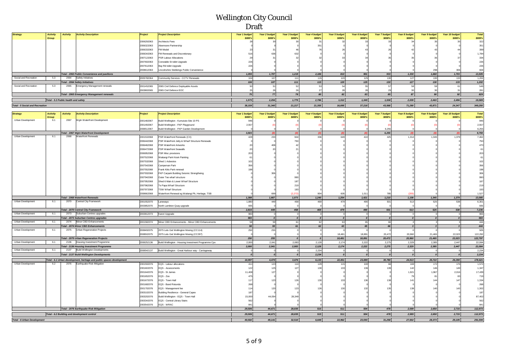| <b>Strategy</b>                        | <b>Activity</b> | <b>Activity</b><br><b>Activity Description</b>    | Project    | <b>Project Description</b>                | Year 1 budget | Year 2 budget | Year 3 budget | Year 4 budget | Year 5 budget | Year 6 budget | Year 7 budget  | Year 8 budget  | Year 9 budget | Year 10 budget | <b>Total</b> |
|----------------------------------------|-----------------|---------------------------------------------------|------------|-------------------------------------------|---------------|---------------|---------------|---------------|---------------|---------------|----------------|----------------|---------------|----------------|--------------|
|                                        | Group           |                                                   |            |                                           | \$000's       | \$000's       | \$000's       | \$000's       | \$000's       | \$000's       | <b>\$000's</b> | <b>\$000's</b> | \$000's       | \$000's        | \$000's      |
|                                        |                 |                                                   | 2006292063 | Architects Fees                           |               |               |               |               |               |               |                |                |               |                | 322          |
|                                        |                 |                                                   | 2006322063 | Alexmoore Partnership                     |               |               |               | 25            |               |               |                |                |               |                | 351          |
|                                        |                 |                                                   | 2006332063 | FM Model                                  |               |               |               |               |               |               |                |                |               |                | 399          |
|                                        |                 |                                                   | 2006342063 | FM Renewals and Discretionary             |               |               |               |               |               |               |                |                |               |                | 1,784        |
|                                        |                 |                                                   | 2007122063 | PSR Labour Allocations                    |               |               |               |               |               |               |                |                |               |                | 334          |
|                                        |                 |                                                   | 2007602063 | Constable St toilet Upgrade               |               |               |               |               |               |               |                |                |               |                | 226          |
|                                        |                 |                                                   | 2007612063 | Bay Rd toilet Upgrade                     |               |               |               |               |               |               |                |                |               |                | 226          |
|                                        |                 |                                                   | 2008612063 | Lincolnshire Stebbings Public Convenience |               |               |               |               |               |               |                |                |               |                | 604          |
|                                        |                 | Total - 2063 Public Convenience and pavilions     |            |                                           | 1,055         | 1,707         | 1,219         | 2,186         | 810           | 901           | 933            | 1,330          | 1,660         | 1,703          | 13,505       |
| Social and Recreation                  | 5.3             | 2064<br>Safety Initiatives                        | 2005782064 | Community Services - CCTV Renewals        |               |               |               |               | 120           |               |                |                |               |                | 1,202        |
|                                        |                 | <b>Total - 2064 Safety Initiatives</b>            |            |                                           | 104           | 107           |               | 115           | 120           | 125           | 130            | 127            |               | 133            | 1,202        |
| Social and Recreation                  |                 | 2065<br>Emergency Management renewals             | 2001452065 | 2065 Civil Defence Deployable Assets      |               |               |               |               |               |               |                |                |               |                | 549          |
|                                        |                 |                                                   | 2003802065 | 2065 Civil Defence EOC                    |               |               |               |               |               |               |                |                |               |                | 281          |
|                                        |                 | <b>Total - 2065 Emergency Management renewals</b> |            |                                           |               |               |               |               |               |               |                |                |               | 92             | 829          |
|                                        |                 | Total - 5.3 Public health and safety              |            |                                           | 1,573         | 2,256         | 1.779         | 2,786         | 1,312         | 1,349         | 1,538          | 2,039          | 2,463         | 2,496          | 19,589       |
| <b>Total - 5 Social and Recreation</b> |                 |                                                   |            |                                           | 38,159        | 31,340        | 21,217        | 21,355        | 16,895        | 37,218        | 43,568         | 71,280         | 43,871        | 24,347         | 349,250      |

| <b>Strategy</b>                    | <b>Activity</b> | <b>Activity</b> | <b>Activity Description</b>                                           | Project    | <b>Project Description</b>                          | Year 1 budget | Year 2 budget | <b>Year 3 budget</b> | Year 4 budget | Year 5 budget    | Year 6 budget    | <b>Year 7 budget</b> | Year 8 budget    | Year 9 budget    | Year 10 budget   | <b>Total</b> |
|------------------------------------|-----------------|-----------------|-----------------------------------------------------------------------|------------|-----------------------------------------------------|---------------|---------------|----------------------|---------------|------------------|------------------|----------------------|------------------|------------------|------------------|--------------|
|                                    | Group           |                 |                                                                       |            |                                                     | \$000's       | \$000's       | \$000's              | \$000's       | \$000's          | \$000's          | \$000's              | \$000's          | \$000's          | \$000's          | \$000's      |
| Urban Development                  | 6.1             | 2067            | Vigtn Waterfront Development                                          | 2001482067 | Build Wellington - Kumututo Site 10 PS              | 946           |               |                      |               |                  |                  |                      |                  |                  |                  | 946          |
|                                    |                 |                 |                                                                       | 2001492067 | Build Wellington - FKP Playground                   | 2,557         |               |                      |               |                  |                  |                      |                  |                  |                  | 2,557        |
|                                    |                 |                 |                                                                       | 2008512067 | Build Wellington - FKP Garden Development           |               |               |                      |               |                  |                  | 6,255                |                  |                  |                  | 6,255        |
|                                    |                 |                 | <b>Total - 2067 Wgtn Waterfront Development</b>                       |            |                                                     | 3,503         | (0)           | $\omega$             |               | (0)              | (0)              | 6,255                |                  | (0)              | (0)              | 9,759        |
| Urban Development                  | 6.1             | 2068            | <b>Waterfront Renewals</b>                                            | 2001532068 | PSR Waterfront Renewals (CX)                        | 428           | 233           | 944                  | 336           | 649              | 410              | 425                  | 1,314            | 1,345            | 1,379            | 7,462        |
|                                    |                 |                 |                                                                       | 2006442068 | PSR Waterfront Jetty & Wharf Structure Renewals     |               |               | 750                  |               |                  |                  |                      |                  |                  |                  | 750          |
|                                    |                 |                 |                                                                       | 2006462068 | <b>PSR Waterfront Artworks</b>                      |               | 408           |                      |               |                  |                  |                      |                  |                  |                  | 470          |
|                                    |                 |                 |                                                                       | 2006472068 | <b>PSR Waterfront Seawalls</b>                      | 20            |               |                      |               |                  |                  |                      |                  |                  |                  | 61           |
|                                    |                 |                 |                                                                       | 2006952068 | PSR Misc provisions                                 | 203           |               |                      |               |                  |                  |                      |                  |                  |                  | 203          |
|                                    |                 |                 |                                                                       | 2007522068 | Waitangi Park Kiosk Painting                        | 61            |               |                      |               |                  |                  |                      |                  |                  |                  | 61           |
|                                    |                 |                 |                                                                       | 2007532068 | Shed 1 Asbestos                                     | 102           |               |                      |               |                  |                  |                      |                  |                  |                  | 102          |
|                                    |                 |                 |                                                                       | 2007542068 | Campervan Park                                      | 356           |               |                      |               |                  |                  |                      |                  |                  |                  | 356          |
|                                    |                 |                 |                                                                       | 2007552068 | Frank Kitts Park renewal                            |               |               |                      |               |                  |                  |                      |                  |                  |                  | 198          |
|                                    |                 |                 |                                                                       | 2007932068 | FKP Carpark Building Seismic Strengtheing           |               |               |                      |               |                  |                  |                      |                  |                  |                  | 306          |
|                                    |                 |                 |                                                                       | 2007942068 | Outer Tee wharf structure                           |               |               |                      |               |                  |                  |                      |                  |                  |                  | 990          |
|                                    |                 |                 |                                                                       | 2007952068 | Shed 6 Main & Lower Wharf Structure                 |               |               |                      |               |                  |                  |                      |                  |                  |                  | 187          |
|                                    |                 |                 |                                                                       | 2007962068 | Te Papa Wharf Structure                             |               |               | 21                   |               |                  |                  |                      |                  |                  |                  | 219          |
|                                    |                 |                 |                                                                       | 2007972068 | <b>TSW Wharf Structure</b>                          |               |               | 190                  |               |                  |                  |                      |                  |                  |                  | 193          |
|                                    |                 |                 |                                                                       | 2008662068 | Waterfront Renewal eg Waitangi Pk, Heritage, TSB    |               | 699           | (2,272)              | 904           | 605              | 1,011            | 785                  |                  |                  |                  | 1,527        |
|                                    |                 |                 | <b>Total - 2068 Waterfront Renewals</b>                               |            |                                                     | 1,388         | 1.667         | 1,073                | 1,240         | 1.254            | 1,421            | 1,210                | 1,108            | 1,345            | 1,379            | 13,085       |
| Urban Development                  | 6.1             | 2070            | Central City Framework                                                | 2001552070 | Laneways                                            | 1.880         | 449           | 458                  | 469           | 479              | 490              | 501                  | 513              | 525              | 538              | 6,301        |
|                                    |                 |                 |                                                                       | 2003852070 | North Lambton Quay upgrade                          | 935           |               |                      |               |                  |                  |                      |                  |                  |                  | 935          |
|                                    |                 |                 | <b>Total - 2070 Central City Framework</b>                            |            |                                                     | 2.815         | 449           | 458                  | 469           | 479              | 490              | 501                  | 513              | 525              | 538              | 7,236        |
| Urban Development                  | 6.1             | 2073            | Suburban Centres upgrades                                             | 2003812073 | Karori Upgrade                                      | 983           | $\Omega$      |                      |               | $\Omega$         | $\overline{0}$   | <sub>0</sub>         | $\Omega$         | $\Omega$         |                  | 983          |
|                                    |                 |                 | Total - 2073 Suburban Centres upgrades                                |            |                                                     | 983           |               |                      |               | $\boldsymbol{0}$ | $\boldsymbol{0}$ | $\Omega$             | $\boldsymbol{0}$ | $\boldsymbol{0}$ | $\boldsymbol{0}$ | 983          |
| Urban Development                  | 6.1             | 2074            | Minor CBD Enhancements                                                | 2001582074 | Minor CBD Enhancements - Minor CBD Enhancements     | 58            | 59            | 61                   | 62            | 63               | 65               | 66                   |                  |                  |                  | 444          |
|                                    |                 |                 | <b>Total - 2074 Minor CBD Enhancements</b>                            |            |                                                     | 58            | 59            | 61                   | 62            | 63               | 65               | 66                   | $\overline{3}$   | $\overline{3}$   | $\overline{3}$   | 444          |
| Urban Development                  | 6.1             | 2075            | Urban Regeneration Projects                                           | 2008492075 | 2075 Lets Get Wellington Moving (CC114)             | 250           | 255           |                      |               |                  |                  |                      |                  |                  |                  | 505          |
|                                    |                 |                 |                                                                       | 2008502075 | 2075 Lets Get Wellington Moving (CC297)             |               |               |                      |               | 18,481           | 18,891           | 20,472               | 20,960           | 21,465           | 22,023           | 122,292      |
|                                    |                 |                 | <b>Total - 2075 Urban Regeneration Projects</b>                       |            |                                                     | 250           | 255           |                      |               | 18,481           | 18,891           | 20,472               | 20,960           | 21,465           | 22.023           | 122,797      |
| Urban Development                  | 6.1             | 2136            | Housing Investment Programme                                          | 2008252136 | Build Wellington - Housing Investment Programme Cpx | 2.000         | 2.041         | 2.083                | 2,128         | 2.174            | 2,222            | 2,275                | 2,329            | 2.385            | 2.447            | 22,084       |
|                                    |                 |                 | <b>Total - 2136 Housing Investment Programme</b>                      |            |                                                     | 2.000         | 2.041         | 2.083                | 2.128         | 2.174            | 2.222            | 2.275                | 2.329            | 2.385            | 2.447            | 22,084       |
| Urban Development                  | 6.1             | 2137            | <b>Build Wellington Developments</b>                                  | 2008542137 | Build Wellington - Great Harbour way - Carriageway  |               |               |                      | 2,234         |                  |                  |                      |                  |                  |                  | 2,234        |
|                                    |                 |                 | <b>Total - 2137 Build Wellington Developments</b>                     |            |                                                     |               |               |                      | 2,234         | $\sqrt{ }$       | $\sqrt{2}$       |                      | $\sqrt{2}$       |                  |                  | 2,234        |
|                                    |                 |                 | Total - 6.1 Urban development, heritage and public spaces development |            |                                                     | 10,997        | 4,470         | 3,676                | 6,133         | 22,451           | 23,089           | 30,780               | 24,913           | 25,722           | 26,390           | 178,621      |
| Urban Development                  | 6.2             | 2076            | Earthquake Risk Mitigation                                            | 2001592076 | EQS - Labour allocations                            | 411           | 123           | 110                  | 129           | 115              | 100              | 66                   | 169              | 172              | 176              | 1,572        |
|                                    |                 |                 |                                                                       | 2001602076 | EQS - Assessments                                   | 122           | 125           | 127                  | 130           | 133              | 136              | 130                  | 142              | 146              | 149              | 1,347        |
|                                    |                 |                 |                                                                       | 2001642076 | EQS - St James                                      | 11.408        | 127           |                      |               |                  |                  |                      | 1,921            | 1,967            | 2,016            | 17,439       |
|                                    |                 |                 |                                                                       | 2001652076 | EQS - Zoo                                           | 475           |               |                      |               |                  |                  |                      |                  |                  | 83               | 719          |
|                                    |                 |                 |                                                                       | 2001672076 | EQS - Town Hall                                     | 117           | 123           | 12                   | 130           | 133              | 136              |                      |                  | 144              | 147              | 1,334        |
|                                    |                 |                 |                                                                       | 2001682076 | EQS - Band Rotunda                                  | 268           |               |                      |               |                  |                  |                      |                  |                  |                  | 268          |
|                                    |                 |                 |                                                                       | 2001702076 | EQS - Management fee                                | 114           | 120           | 12 <sub>2</sub>      | 12            |                  |                  |                      |                  |                  |                  | 1,302        |
|                                    |                 |                 |                                                                       | 2003102076 | Building Resilience - General Capex                 | 187           |               |                      |               |                  |                  |                      |                  |                  |                  | 187          |
|                                    |                 |                 |                                                                       | 2003202076 | Build Wellington - EQS - Town Hall                  | 15,000        | 44,054        | 28,349               |               |                  |                  |                      |                  |                  |                  | 87,402       |
|                                    |                 |                 |                                                                       | 2003342076 | EQS - Central Library Stairs                        | 562           |               |                      |               |                  |                  |                      |                  |                  |                  | 562          |
|                                    |                 |                 |                                                                       | 2003542076 | EQS - WRAC                                          | 841           |               |                      |               |                  |                  |                      |                  |                  |                  | 841          |
|                                    |                 |                 | Total - 2076 Earthquake Risk Mitigation                               |            |                                                     | 29,506        | 44,671        | 28.835               | 515           | 511              | 504              | 478                  | 2.589            | 2,650            | 2,715            | 112,973      |
|                                    |                 |                 | Total - 6.2 Building and development control                          |            |                                                     | 29,506        | 44,671        | 28.835               | 515           | 511              | 504              | 478                  | 2.589            | 2.650            | 2.715            | 112,973      |
|                                    |                 |                 |                                                                       |            |                                                     |               |               |                      |               |                  |                  |                      |                  |                  |                  |              |
| <b>Total - 6 Urban Development</b> |                 |                 |                                                                       |            |                                                     | 40.502        | 49.141        | 32.510               | 6.648         | 22.962           | 23,593           | 31,258               | 27,502           | 28.373           | 29.105           | 291,594      |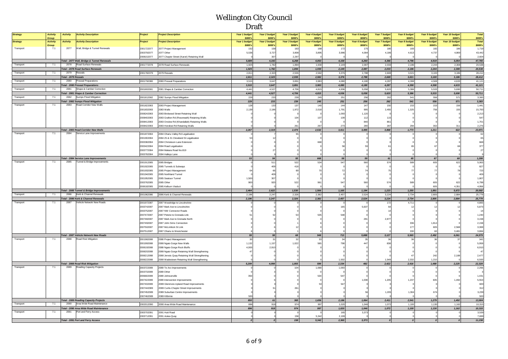| <b>Strategy</b> | <b>Activity</b>          | <b>Activity</b><br><b>Activity Description</b>                                      | Project                  | <b>Project Description</b>                                                                 | Year 1 budget            | Year 2 budget            | Year 3 budget           | Year 4 budget            | Year 5 budget            | Year 6 budget            | Year 7 budget                   | Year 8 budget            | Year 9 budget                   | Year 10 budget            | <b>Total</b>            |
|-----------------|--------------------------|-------------------------------------------------------------------------------------|--------------------------|--------------------------------------------------------------------------------------------|--------------------------|--------------------------|-------------------------|--------------------------|--------------------------|--------------------------|---------------------------------|--------------------------|---------------------------------|---------------------------|-------------------------|
| <b>Strategy</b> | Group<br><b>Activity</b> | <b>Activity</b><br><b>Activity Description</b>                                      | Project                  | <b>Project Description</b>                                                                 | \$000's<br>Year 1 budget | \$000's<br>Year 2 budget | \$000's<br>Year 3 budge | \$000's<br>Year 4 budget | \$000's<br>Year 5 budget | \$000's<br>Year 6 budget | \$000's<br><b>Year 7 budget</b> | \$000's<br>Year 8 budget | \$000's<br><b>Year 9 budget</b> | \$000's<br>Year 10 budget | \$000's<br><b>Total</b> |
|                 | Group                    | 2077                                                                                |                          |                                                                                            | \$000's                  | \$000's                  | \$000's                 | \$000's                  | \$000's                  | \$000's                  | \$000's                         | \$000's                  | \$000's                         | \$000's                   | \$000's                 |
| Transport       | 7.1                      | Wall, Bridge & Tunnel Renewals                                                      | 2001722077<br>2003792077 | 2077 Project Management<br>2077 Other                                                      | 153<br>5,536             | 158<br>3,727             | 163<br>3,808            | 168<br>3,895             | 172<br>3,986             | 175<br>4,084             | 180<br>4,186                    | 183<br>4,613             | 182<br>4,737                    | 186<br>4,869              | 1,719<br>43,442         |
|                 |                          |                                                                                     | 2008152077               | 2077 Chaytor Street (Karori) Retaining Wall                                                |                          | 307                      | 2,297                   |                          |                          |                          |                                 |                          |                                 |                           | 2,604                   |
|                 |                          | Total - 2077 Wall, Bridge & Tunnel Renewals                                         |                          |                                                                                            | 5,689                    | 4,192                    | 6,268                   | 4,063                    | 4,158                    | 4,260                    | 4,366                           | 4,796                    | 4,919                           | 5,054                     | 47,765                  |
| Transport       | 7.1                      | 2078 Road Surface Renewals                                                          | 2001772078               | 2078 Road Surface Renewals                                                                 | 1.925                    | 1,782                    | 1,894                   | 1,930                    | 2,149                    | 2,087                    | 2,033                           | 2,186                    | 2,244                           | 2,308                     | 20,538                  |
| Transport       | 7.1                      | Total - 2078 Road Surface Renewals<br>2079 Reseals                                  | 2001782079               | 2079 Reseals                                                                               | 1.925<br>2,811           | 1.782<br>2,323           | 1.894<br>2.555          | 1.930<br>2.582           | 2,149<br>3.376           | 2,087<br>2,788           | 2.033<br>2.669                  | 2.186<br>3,021           | 2.244<br>3,100                  | 2.308<br>3.186            | 20,538<br>28,412        |
|                 |                          | Total - 2079 Reseals                                                                |                          |                                                                                            | 2,811                    | 2,323                    | 2,555                   | 2,582                    | 3,376                    | 2,788                    | 2,669                           | 3,021                    | 3,100                           | 3,186                     | 28,412                  |
| Transport       | 7.1                      | 2080<br>Preseal Preparations                                                        | 2001792080               | 2080 Preseal Preparations                                                                  | 3,515                    | 3,647                    | 3,891                   | 3,983                    | 4,080                    | 4.180                    | 4,287                           | 4.398                    | 4.508                           | 4,633                     | 41,121                  |
|                 |                          | <b>Total - 2080 Preseal Preparations</b>                                            |                          |                                                                                            | 3,515                    | 3,647                    | 3,891                   | 3,983                    | 4,080                    | 4,180                    | 4,287                           | 4,398                    | 4,508                           | 4,633                     | 41,121                  |
| Transport       | 7.1                      | Shape & Camber Correction<br>2081                                                   | 2001802081               | 2081 Shape & Camber Correction                                                             | 4,441                    | 4,527                    | 4,706                   | 4,815                    | 4,936                    | 5,058                    | 5,620                           | 5,386                    | 5,533                           | 5,690                     | 50,711                  |
| Transport       | 7.1                      | Total - 2081 Shape & Camber Correction<br>Sumps Flood Mitigation<br>2082            | 2001812082               | 2082 Sumps Flood Mitigation                                                                | 4,441<br>229             | 4,527<br>233             | 4,706<br>239            | 4,815<br>245             | 4,936<br>251             | 5,058<br>256             | 5,620<br>262                    | 5,386<br>541             | 5,533<br>556                    | 5,690<br>571              | 50,711<br>3,383         |
|                 |                          | <b>Total - 2082 Sumps Flood Mitigation</b>                                          |                          |                                                                                            | 229                      | 233                      | 239                     | 245                      | 251                      | 256                      | 262                             | 541                      | 556                             | 571                       | 3,383                   |
| Transport       | 7.1                      | 2083<br>Road Corridor New Walls                                                     | 2001822083               | 2083 Project Management                                                                    | 128                      | 133                      | 137                     | 140                      | 144                      | 147                      | 150                             | 153                      | 153                             | 156                       | 1,441                   |
|                 |                          |                                                                                     | 2001832083               | 2083 Walls                                                                                 | 2,139                    | 2,186                    | 1,972                   | 2,018                    | 1,791                    | 995                      | 2,455                           | 1,325                    | 756                             | 155                       | 15,793                  |
|                 |                          |                                                                                     | 2008242083               | 2083 Birdwood Street Retaining Wall                                                        |                          |                          |                         |                          | 1,093                    | 1,120                    |                                 |                          |                                 |                           | 2,213                   |
|                 |                          |                                                                                     | 2008402083<br>2008412083 | 2083 Grafton Rd (Roseneath) Retaining Walls<br>2083 Onslow Rd (Khandallah) Retaining Walls |                          |                          | 104                     | 107                      | 109                      | 112<br>840               | 115<br>861                      |                          |                                 |                           | 547<br>1,701            |
|                 |                          |                                                                                     | 2008422083               | 2083 Horokiwi Rd Retaining Walls                                                           |                          |                          | 261                     | 267                      | 273                      | 280                      | 287                             | 294                      | 302                             | 311                       | 2,276                   |
|                 |                          | Total - 2083 Road Corridor New Walls                                                |                          |                                                                                            | 2,267                    | 2,319                    | 2,474                   | 2,532                    | 3,411                    | 3,495                    | 3,868                           | 1,773                    | 1,211                           | 622                       | 23,971                  |
| Transport       | 7.1                      | Service Lane Improvements<br>2084                                                   | 2001872084               | 2084 Ohariu Valley Rd Legalisation                                                         |                          |                          |                         |                          |                          |                          |                                 |                          |                                 |                           | 62                      |
|                 |                          |                                                                                     | 2001902084               | 084 25 & 31 Cleveland St Legalisation                                                      |                          | 12                       |                         |                          |                          |                          |                                 |                          |                                 |                           | 65                      |
|                 |                          |                                                                                     | 2003382084<br>2003422084 | 2084 Christeson Lane Extension<br>2084 Road Legalisation                                   |                          |                          |                         | 66                       |                          |                          |                                 |                          |                                 |                           | 668<br>377              |
|                 |                          |                                                                                     | 2003772084               | 2084 Makara Road No.819                                                                    |                          | 27                       |                         |                          |                          |                          |                                 |                          |                                 |                           | $27\,$                  |
|                 |                          |                                                                                     | 2003782084               | 2084 Halleys Lane                                                                          |                          |                          |                         |                          |                          |                          |                                 |                          |                                 |                           |                         |
|                 |                          | Total - 2084 Service Lane Improvements                                              |                          |                                                                                            | 53                       | 54                       | 55                      | 668                      | 58                       | 59                       | 61                              | 65                       | 67                              | 68                        | 1,208                   |
| Transport       | 7.1                      | 2085<br>Tunnel & Bridge Improvements                                                | 2001912085               | 2085 Bridges                                                                               |                          | 511                      | 522                     | 534                      | 547                      | 560                      | 574                             | 589                      | 605                             | 622                       | 5,063                   |
|                 |                          |                                                                                     | 2001922085               | 2085 Tunnels & Subways                                                                     |                          | 409                      | 418                     |                          |                          |                          |                                 |                          |                                 |                           | 827                     |
|                 |                          |                                                                                     | 2001932085<br>2001942085 | 2085 Project Management<br>2085 Northland Tunnel                                           |                          | 66<br>409                |                         |                          | 72                       |                          |                                 |                          |                                 |                           | 723<br>409              |
|                 |                          |                                                                                     | 2001952085               | 2085 Seatoun Tunnel                                                                        | 1,500                    | 307                      |                         |                          |                          |                          |                                 |                          |                                 |                           | 1,807                   |
|                 |                          |                                                                                     | 2003762085               | 2085 Other                                                                                 | 900                      | 920                      | 522                     | 961                      | 54                       | 560                      | 574                             | 589                      | 605                             | 622                       | 6,799                   |
|                 |                          |                                                                                     | 2008182085               | 2085 Kelburn Viaduct                                                                       |                          |                          |                         |                          |                          |                          |                                 |                          | 605                             | 4,351                     | 4,956                   |
|                 |                          | Total - 2085 Tunnel & Bridge Improvements                                           |                          |                                                                                            | 2,464                    | 2,622                    | 1,530                   | 1,566                    | 1,165                    | 1,194                    | 1,223                           | 1,255                    | 1,891                           | 5,672                     | 20,582                  |
| Transport       | 7.1                      | Kerb & Channel Renewals<br>2086<br>Total - 2086 Kerb & Channel Renewals             | 2001962086               | 2086 Kerb & Channel Renewals                                                               | 2.196<br>2,196           | 2,247<br>2,247           | 2,326<br>2,326          | 2,382<br>2,382           | 2,457<br>2,457           | 2,524<br>2,524           | 3,224<br>3,224                  | 2,734<br>2,734           | 2,805<br>2,805                  | 2,884<br>2,884            | 25,779<br>25,779        |
| Transport       | 7.1                      | Vehicle Network New Roads<br>2087                                                   | 2001972087               | 2087 Woodridge to Lincolnshire                                                             |                          |                          |                         |                          | $^{\circ}$               |                          | 172                             | 4,711                    |                                 |                           | 4,883                   |
|                 |                          |                                                                                     | 2003742087               | 2087 Mark Ave to Lincolnshire                                                              |                          |                          |                         |                          | 165                      | 5,607                    | 64                              |                          |                                 |                           | 5,873                   |
|                 |                          |                                                                                     | 2003752087               | 2087 NW Connector Roads                                                                    |                          |                          |                         |                          |                          |                          |                                 |                          |                                 |                           | 14                      |
|                 |                          |                                                                                     | 2007472087               | 2087 Petone to Grenada Link                                                                |                          |                          |                         | 535                      |                          |                          |                                 |                          |                                 |                           | 1,240                   |
|                 |                          |                                                                                     | 2007482087               | 2087 Mark Ave to Grenada North                                                             |                          |                          |                         |                          |                          | 281                      | 2,877                           |                          |                                 |                           | 3,158                   |
|                 |                          |                                                                                     | 2007492087<br>2007502087 | 2087 John Sims Connection<br>2087 McLintlock St Link                                       |                          |                          |                         |                          |                          |                          |                                 | 336<br>17                | 1,814<br>605                    | 2,568                     | 2,158<br>3,369          |
|                 |                          |                                                                                     | 2007512087               | 2087 Ohariu to Westchester                                                                 |                          |                          |                         |                          |                          |                          |                                 | 330                      | 60                              | 3,481                     | 3,884                   |
|                 |                          | Total - 2087 Vehicle Network New Roads                                              |                          |                                                                                            | 59                       | 58                       | 68                      | 548                      | 713                      | 5,888                    | 3,127                           | 5,565                    | 2,492                           | 6,061                     | 24,579                  |
| Transport       | 7.1                      | Road Risk Mitigation<br>2088                                                        | 2001982088               | 2088 Project Management                                                                    |                          | 31                       | 32                      | 33                       | 34                       | 35                       | 36                              |                          |                                 | 37                        | 342                     |
|                 |                          |                                                                                     | 2001992088               | 2088 Ngaio Gorge New Walls                                                                 | 1,132                    | 1,157                    | 1,022                   | 565                      | 798                      | 447                      | 838                             |                          |                                 |                           | 5,959                   |
|                 |                          |                                                                                     | 2008192088<br>2008202088 | 2088 Ngaio Gorge Rock Bluffs<br>2088 Ngaio Gorge Retaining Wall Strengthening              | 4,000                    | 2,910                    |                         |                          |                          |                          |                                 |                          |                                 |                           | 6,910<br>47             |
|                 |                          |                                                                                     | 2008212088               | 2088 Jervois Quay Retaining Wall Strengthening                                             |                          |                          |                         |                          |                          |                          |                                 |                          | 242                             | 2,188                     | 2,477                   |
|                 |                          |                                                                                     | 2008222088               | 2088 Wadestown Retaining Wall Strengthening                                                |                          |                          |                         |                          | 1.502                    |                          | 1.549                           | 2,332                    | 1.210                           |                           | 6,593                   |
|                 |                          | <b>Total - 2088 Road Risk Mitigation</b>                                            |                          |                                                                                            | 5,209                    | 4,098                    | 1,055                   | 599                      | 2,334                    | 482                      | 2,422                           | 2,416                    | 1,488                           | 2,225                     | 22,328                  |
| Transport       | 7.1                      | Roading Capacity Projects<br>2089                                                   | 2003722089               | 2089 Te Aro Improvements                                                                   |                          |                          | 104                     | 1,068                    | 1,093                    |                          |                                 |                          |                                 |                           | 2,266                   |
|                 |                          |                                                                                     | 2003732089<br>2006602089 | 2089 Other<br>2089 Johnsonville                                                            |                          |                          |                         | 534                      | 547                      |                          |                                 |                          |                                 |                           | 1,431                   |
|                 |                          |                                                                                     | 2007422089               | 2089 Intersection Improvements                                                             |                          |                          |                         |                          |                          | 1,008                    | 1,205                           | 1,237                    | 605                             | 1,492                     | 5,553                   |
|                 |                          |                                                                                     | 2007432089               | 2089 Glenmore-Upland Road Improvements                                                     |                          |                          |                         |                          | 54                       |                          |                                 |                          |                                 |                           | 600                     |
|                 |                          |                                                                                     | 2007442089               | 2089 Curtis-Chaytor Street Improvements                                                    |                          |                          | 261                     |                          |                          |                          |                                 |                          |                                 |                           | 312                     |
|                 |                          |                                                                                     | 2007452089               | 1089 Suburban Centre Improvements                                                          |                          |                          |                         |                          |                          |                          | 1,205                           | 1,304                    | 674                             |                           | 3,239                   |
|                 |                          |                                                                                     | 2007462089               | 2089 Kilbimie                                                                              | 50                       |                          |                         |                          |                          |                          |                                 |                          |                                 |                           | 500                     |
| Transport       | 7.1                      | <b>Total - 2089 Roading Capacity Projects</b><br>Area Wide Road Maintenance<br>2090 | 2002012090               | 2090 Area Wide Road Maintenance                                                            | 850<br>896               | 61<br>918                | 365<br>974              | 1,656<br>997             | 2,186<br>1,020           | 1,064<br>1.046           | 2,411<br>1.072                  | 2,541<br>1.100           | 1,279<br>1.130                  | 1,492<br>1,162            | 13,904<br>10,315        |
|                 |                          | Total - 2090 Area Wide Road Maintenance                                             |                          |                                                                                            | 896                      | 918                      | 974                     | 997                      | 1,020                    | 1,046                    | 1,072                           | 1,100                    | 1,130                           | 1,162                     | 10,315                  |
| Transport       | 7.1                      | 2091<br>Port and Ferry Access                                                       | 2003702091               | 2091 Hutt Road                                                                             |                          |                          |                         |                          | 165                      | 3,373                    |                                 |                          |                                 |                           | 3,539                   |
|                 |                          |                                                                                     | 2003712091               | 2091 Aotea Quay                                                                            |                          |                          | 158                     | 5,342                    | 2,199                    |                          |                                 |                          |                                 |                           | 7,699                   |
|                 |                          | <b>Total - 2091 Port and Ferry Access</b>                                           |                          |                                                                                            |                          | $\mathfrak{o}$           | 158                     | 5,342                    | 2,365                    | 3,373                    | οl                              |                          |                                 |                           | 11,238                  |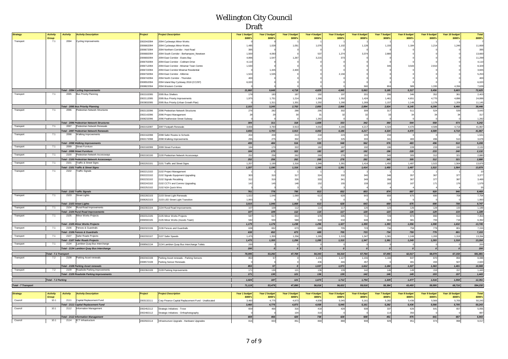| <b>Strategy</b>            | <b>Activity</b>              | <b>Activity</b> | <b>Activity Description</b>                                           | Project    | <b>Project Description</b>                           | Year 1 budget   | <b>Year 2 budget</b> | Year 3 budget    | Year 4 budget  | <b>Year 5 budget</b> | Year 6 budget             | Year 7 budget | Year 8 budget    | <b>Year 9 budget</b>    | Year 10 budget | <b>Total</b>   |
|----------------------------|------------------------------|-----------------|-----------------------------------------------------------------------|------------|------------------------------------------------------|-----------------|----------------------|------------------|----------------|----------------------|---------------------------|---------------|------------------|-------------------------|----------------|----------------|
|                            | Group                        |                 |                                                                       |            |                                                      | \$000's         | \$000's              | \$000's          | \$000's        | \$000's              | \$000's                   | \$000's       | \$000's          | \$000's                 | \$000's        | \$000's        |
| Transport                  | 7.1                          | 2094            | Cycling Improvements                                                  | 2002042094 | 2094 Cycleways Minor Works                           |                 |                      |                  |                |                      |                           |               |                  |                         |                |                |
|                            |                              |                 |                                                                       | 2006662094 | 2094 Cycleways Minor Works                           | 1,485           | 1,028                | 1,051            | 1,076          | 1,102                | 1,128                     | 1,155         | 1,184            | 1,214                   | 1,246          | 11,668         |
|                            |                              |                 |                                                                       | 2006672094 | 2094 Northern Corridor - Hutt Road                   | 395             |                      |                  |                |                      |                           |               |                  |                         |                | 395            |
|                            |                              |                 |                                                                       | 2006682094 | 2094 South Corridor - Berhampore_Newtown             | 1,500           | 4.093                |                  | 537            | 1,274                | 3,374                     | 2,880         |                  |                         |                | 13,660         |
|                            |                              |                 |                                                                       | 2006692094 | 2094 East Corridor - Evans Bay                       | 4,896           | 1,547                | 1,267            | 3,215          | 373                  |                           |               |                  |                         |                | 11,299         |
|                            |                              |                 |                                                                       | 2006702094 | 2094 East Corridor - Cobham Drive                    | 4,110           |                      |                  |                |                      |                           |               |                  |                         |                | 4,11           |
|                            |                              |                 |                                                                       | 2006712094 | 2094 East Corridor - Miramar Town Centre             | 1,530           |                      |                  |                |                      |                           | 34            | 3.54             | 2.910                   |                | 8,329          |
|                            |                              |                 |                                                                       | 2006722094 | 2094 East Corridor Miramar Residential               |                 | 1.445                | 2.400            |                |                      |                           |               |                  |                         |                | 3,845          |
|                            |                              |                 |                                                                       | 2006732094 | 2094 East Corridor - Kilbirnie                       | 1,524           | 1,535                |                  |                | 2,19                 |                           |               |                  |                         |                | 5,253          |
|                            |                              |                 |                                                                       | 2006742094 | 2094 North Corridor - Thorndon                       | 40 <sub>1</sub> |                      |                  |                |                      |                           |               |                  |                         |                | 400            |
|                            |                              |                 |                                                                       | 2008552094 | 2094 Island Bay Cycleway 2018 (CC297)                | 6,020           |                      |                  |                |                      |                           |               |                  |                         |                | 6,020          |
|                            |                              |                 |                                                                       | 2008822094 | 2094 Western Corridor                                |                 |                      |                  |                |                      | 560                       |               |                  | 1,330                   | 4,356          | 7,639          |
|                            |                              |                 | <b>Total - 2094 Cycling Improvements</b>                              |            |                                                      | 21,860          | 9,648                | 4,718            | 4,829          | 4,945                | 5,063                     | 5,185         | 5,317            | 5,456                   | 5,603          | 72,625         |
| Transport                  | 7.1                          | 2095            | <b>Bus Priority Planning</b>                                          | 2002102095 | 2095 Bus Shelters                                    | 178             | 183                  | 187              | 192            | 197                  | 201                       | 206           | 346              | 352                     | 361            | 2,403          |
|                            |                              |                 |                                                                       | 2002112095 | 2095 Bus Priority Improvements                       | 1,975           | 1,751                | 1,214            | 1,366          | 1,392                | 1,424                     | 1,461         | 4,651            | 4,770                   | 4.896          | 24,899         |
|                            |                              |                 |                                                                       | 2003832095 | 2095 Bus Priority (Urban Growth Plan)                |                 | 1,311                | 1,301            | 1,292          | 1,280                | 1,269                     | 1,157         | 1,148            | 1,178                   | 1,209          | 11,14          |
|                            |                              |                 | <b>Total - 2095 Bus Priority Planning</b>                             |            |                                                      | 2,153           | 3,245                | 2,702            | 2,850          | 2,868                | 2,894                     | 2,824         | 6,145            | 6,299                   | 6,466          | 38,446         |
| Transport                  | 7.1                          | 2096            | Pedestrian Network Structures                                         | 2002132096 | 2096 Pedestrian Network Structures                   | 276             | 282                  | 288              | 295            | 302                  | 309                       | 317           | 511              | 524                     | 539            | 3,643          |
|                            |                              |                 |                                                                       | 2002142096 | 2096 Project Management                              | $\mathfrak{D}$  | 29                   | 30               | 3 <sup>2</sup> | 32                   | 32                        | 33            |                  | 34                      | $\mathcal{R}$  | 31             |
|                            |                              |                 |                                                                       | 2008232096 | 2096 Featherston Street Subway                       |                 |                      |                  | 1,282          |                      |                           |               |                  |                         |                | 1,282          |
|                            |                              |                 | <b>Total - 2096 Pedestrian Network Structures</b>                     |            |                                                      | 304             | 311                  | 318              | 1.608          | 333                  | 342                       | 350           | 544              | 558                     | 573            | 5,242          |
| Transport                  | 7.1                          | 2097            | Pedestrian Network Renewals                                           | 2002152097 | 2097 Footpath Renewals                               | 3,656           | 3,793                | 3,913            | 4,002          | 4,186                | 4,217                     | 4,324         | 4,470            | 4,589                   | 4,718          | 41,867         |
|                            |                              |                 | Total - 2097 Pedestrian Network Renewals                              |            |                                                      | 3,656           | 3,793                | 3,913            | 4,002          | 4,186                | 4,217                     | 4,324         | 4,470            | 4,589                   | 4,718          | 41,867         |
| Transport                  | 7.1                          | 2098            | Walking Improvements                                                  | 2002162098 | 2098 Safer Routes to Schools                         | 204             | 209                  | 213              | 218            | 223                  | 229                       | 234           |                  |                         |                | 1,53           |
|                            |                              |                 |                                                                       | 2002172098 | 2098 Walking Improvements                            | 295             | 275                  | 302              | 317            | 325                  | 333                       | 341           | 483              | 496                     | 510            | 3,678          |
|                            |                              |                 | <b>Total - 2098 Walking Improvements</b>                              |            |                                                      | 499             | 484                  | 516              | 535            | 548                  | 562                       | 576           | 483              | 496                     | 510            | 5,208          |
| Transport                  | 7.1                          |                 | 2099 Street Furniture                                                 | 2002182099 | 2099 Street Furniture                                | 184             | 170                  | 322              | 182            | 187                  | 192                       | 196           | 228              | 233                     | 240<br>240     | 2,132          |
| Transport                  | 7.1                          | 2100            | <b>Total - 2099 Street Furniture</b><br>Pedestrian Network Accessways | 2002192100 |                                                      | 184<br>252      | 170<br>256           | 322              | 182<br>269     | 187<br>278           | 192                       | 196<br>343    | 228<br>305       | 233                     | 321            | 2,132<br>2,880 |
|                            |                              |                 | <b>Total - 2100 Pedestrian Network Accessways</b>                     |            | 2100 Pedestrian Network Accessways                   | 252             | 256                  | 262<br>262       | 269            | 278                  | 282<br>282                | 343           | 305              | 312<br>312              | 321            | 2,880          |
| Transport                  | 7.1                          | 2101            | Traffic & Street Signs                                                | 2002202101 | 2101 Traffic and Street Signs                        | 1,207           | 1,190                | 1,316            | 1,348          | 1,381                | 1,414                     | 1,450         | 1,487            | 1,522                   | 1,564          | 13,879         |
|                            |                              |                 | Total - 2101 Traffic & Street Signs                                   |            |                                                      | 1,207           | 1,190                | 1,316            | 1,348          | 1,381                | 1,414                     | 1,450         | 1,487            | 1,522                   | 1,564          | 13,879         |
| Transport                  | 7.1                          | 2102            | <b>Traffic Signals</b>                                                | 2002212102 | 2102 Project Management                              |                 |                      |                  |                |                      |                           |               |                  |                         |                |                |
|                            |                              |                 |                                                                       | 2002222102 | 102 Signals Equipment Upgrading                      | 303             | 31C                  | 317              | 324            | 332                  | 340                       | 348           | 357              | 367                     | 377            | 3,377          |
|                            |                              |                 |                                                                       | 2002232102 | 2102 Signals Recabling                               | 312             | 319                  | 326              | 333            | 341                  | 349                       | 358           | 367              | 377                     | 387            | 3,469          |
|                            |                              |                 |                                                                       | 2002242102 | 2102 CCTV and Comms Upgrading                        | 142             | 145                  | 148              | 152            | 155                  | 159                       | 163           | 16               | 171                     | 176            | 1,579          |
|                            |                              |                 |                                                                       | 2002252102 | 2102 N2A Quick Wins                                  |                 |                      |                  |                |                      |                           |               |                  |                         |                | 35             |
|                            |                              |                 | Total - 2102 Traffic Signals                                          |            |                                                      | 761             | 778                  | 795              | 813            | 832                  | 853                       | 874           | 897              | 920                     | 946            | 8,469          |
| Transport                  | 7.1                          | 2103            | <b>Street Lights</b>                                                  | 2002282103 | 2103 Street Light Renewals                           | 1,022           | 1,046                | 1,069            | 613            | 628                  | 643                       | 659           | 675              | 690                     | 708            | 7,754          |
|                            |                              |                 |                                                                       | 2008262103 | 2103 LED Street Light Transition                     | 1,993           |                      |                  |                |                      |                           |               |                  |                         |                | 1,993          |
|                            |                              |                 | <b>Total - 2103 Street Lights</b>                                     |            |                                                      | 3,015           | 1,046                | 1,069            | 613            | 628                  | 643                       | 659           | 675              | 690                     | 708            | 9,747          |
| Transport                  | 7.1                          |                 | 2104 Rural Road Improvements                                          | 2002302104 | 2104 Rural Road Improvements                         | 107             | 109                  | 112              | 114            | 117                  | 120                       | 123           | 126              | 129                     | 133            | 1,189          |
|                            |                              |                 | Total - 2104 Rural Road Improvements                                  |            |                                                      | 107             | 109                  | 112              | $114$          | 117                  | 120                       | 123           | 126              | 129                     | 133            | 1,189          |
| Transport                  | 7.1                          | 2105            | Minor Works Projects                                                  | 2002312105 | 2105 Minor Works Projects                            | 597             | 617                  | 650              | 678            | 695                  | 711                       | 729           | 874              | 890                     | 913            | 7,354          |
|                            |                              |                 |                                                                       | 2006592105 | 2105 Minor Works (Assets Team)                       | 582             | 559                  | 588              | 618            | 632                  | 648                       | 664           | 681              | 700                     | 719            | 6,392          |
|                            |                              |                 | <b>Total - 2105 Minor Works Projects</b>                              |            |                                                      | 1,179           | 1,176                | 1,238            | 1,296          | 1,327                | 1,359                     | 1,393         | 1,556            | 1,590                   | 1,632          | 13,745         |
| Transport                  | 7.1                          |                 | 2106 Fences & Guardrails                                              | 2002322106 | 2106 Fences and Guardrails                           | 638             | 652                  | 673              | 689            | 705                  | 723                       | 734           | 759              | 779                     | 801            | 7,153          |
|                            |                              |                 | Total - 2106 Fences & Guardrails                                      |            |                                                      | 638             | 652                  | 673              | 689            | 705                  | 723                       | 734           | 759              | 779                     | 801            | 7,153          |
| Transport                  | 7.1                          |                 | 2107 Safer Roads Projects                                             | 2002332107 | 2107 Safer Speeds                                    | 1,475           | 1,355                | 1,256            | 1,285          | 1,315                | 1,347                     | 1,381         | 1,249            | 1,283                   | 1,318          | 13,264         |
|                            |                              |                 | <b>Total - 2107 Safer Roads Projects</b>                              |            |                                                      | 1,475           | 1,355                | 1,256            | 1,285          | 1,315                | 1,347                     | 1,381         | 1,249            | 1,283                   | 1,318          | 13,264         |
| Transport                  | 7.1                          | 2134            | Lambton Quay Bus Interchange                                          |            | 2008562134 2134 Lambton Quay Bus Interchange Toilets | 200             | $\overline{0}$       |                  | 0              | $\mathbf{0}$         | $\circ$                   |               |                  | $\overline{\mathbf{0}}$ |                | 200            |
|                            |                              |                 | Total - 2134 Lambton Quay Bus Interchange                             |            |                                                      | 200             | $\overline{0}$       | $\boldsymbol{0}$ | $\Omega$       | $\mathcal{O}$        | $\overline{\mathfrak{o}}$ |               | $\boldsymbol{0}$ | $\boldsymbol{0}$        |                | 200            |
|                            | <b>Total - 7.1 Transport</b> |                 |                                                                       |            |                                                      | 70.095          | 53,292               | 47,769           | 54,343         | 54,310               | 57,764                    | 57.055        | 62.017           | 58.079                  | 67,158         | 581,881        |
| Transport                  | 7.2                          | 2108            | Parking Asset renewals                                                | 2002342108 | Parking Asset renewals - Parking Sensors             | 853             | 57                   |                  | 1,101          | 1,127                | 1,155                     | 1,184         | 847              | 870                     | 894            | 8,08           |
|                            |                              |                 |                                                                       | 2008572108 | Parking Sensor Renewals                              |                 |                      |                  | 436            | 446                  | 457                       |               | $\Delta R$       | 493                     | 507            | 2,820          |
|                            |                              |                 | <b>Total - 2108 Parking Asset renewals</b>                            |            |                                                      | 853             | 57                   | $\Omega$         | 1.537          | 1.573                | 1.612                     | 1.184         | 1,327            | 1,363                   | 1.401          | 10,908         |
| Transport                  | 7.2                          | 2109            | Roadside Parking Improvements                                         | 2002362109 | 2109 Parking Improvements                            | 171             | 130                  | 121              | 136            | 139                  | 142                       | 146           | 149              | 153                     | 157            | 1,443          |
|                            |                              |                 | Total - 2109 Roadside Parking Improvements                            |            |                                                      | 171             | 130                  | 121              | 136            | 139                  | 142                       | 146           | 149              | 153                     | 157            | 1,443          |
|                            | Total - 7.2 Parking          |                 |                                                                       |            |                                                      | 1,024           | 187                  | 121              | 1,673          | 1,712                | 1,754                     | 1,329         | 1,477            | 1,516                   | 1.558          | 12,351         |
|                            |                              |                 |                                                                       |            |                                                      |                 |                      |                  |                |                      |                           |               |                  |                         |                |                |
| <b>Total - 7 Transport</b> |                              |                 |                                                                       |            |                                                      | 71,119          | 53,479               | 47,890           | 56,016         | 56.022               | 59,518                    | 58,384        | 63,493           | 59.595                  | 68,716         | 594,232        |
|                            |                              |                 |                                                                       |            |                                                      |                 |                      |                  |                |                      |                           |               |                  |                         |                |                |

| <b>Strategy</b> | <b>Activity</b>        | <b>Activity</b> | <b>Activity Description</b>           | <b>Project</b> | <b>Project Description</b>                          | Year 1 budget | Year 2 budget | Year 3 budget | Year 4 budget | Year 5 budget | Year 6 budget | Year 7 budget | Year 8 budget | Year 9 budget  | Year 10 budget | <b>Total</b> |
|-----------------|------------------------|-----------------|---------------------------------------|----------------|-----------------------------------------------------|---------------|---------------|---------------|---------------|---------------|---------------|---------------|---------------|----------------|----------------|--------------|
|                 | Group                  |                 |                                       |                |                                                     | \$000's       | <b>S000's</b> | \$000's       | <b>SOOO's</b> | \$000's       | <b>SOOO's</b> | <b>SOOO's</b> | <b>SOOO's</b> | <b>\$000's</b> | \$000's        | \$000's      |
| Council         | 10.1                   | 2111            | Capital Replacement Fund              | 2003132111     | Corp Finance Capital Replacement Fund - Unallocated | 3.460         |               |               | 4,93P         | 5,045         |               | 5.282         |               | 5,56           | 5,705          | 50,243       |
|                 |                        |                 | Total - 2111 Capital Replacement Fund |                |                                                     | 3,460         |               | 4,873         | 4,938         | 5,045         | 5,161         | 5,282         | 5,436         | 5,56           | 5,705          | 50,243       |
| Council         | $\overline{a}$         | 2112            | Information Management                | 2002452112     | Strategic Initiatives - Trove                       |               |               |               |               |               |               |               |               |                | 657            | 5,055        |
|                 |                        |                 |                                       | 2002482112     | Strategic Initiatives - Orthophotography            |               |               |               |               |               |               |               |               |                |                |              |
|                 |                        |                 | Total - 2112 Information Management   |                |                                                     |               |               |               |               |               | 508           |               |               |                | 657            | 5,943        |
| Council         | $\overline{a}$<br>10.1 | 2114            | ICT Infrastructure                    | 2002502114     | Infrastructure Upgrade - Hardware Upgrades          |               |               |               |               | 888           |               |               |               |                |                | 9,017        |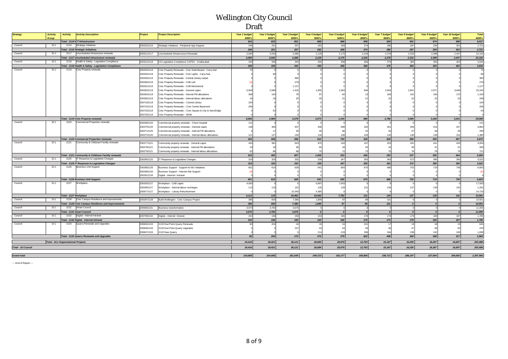| Strategy           | <b>Activity</b><br>Group | <b>Activity</b>                             | <b>Activity Description</b>                           | Project    | <b>Project Description</b>                                  | Year 1 budget  | Year 2 budget<br>\$000's | Year 3 budget<br>\$000's | Year 4 budget<br>\$000's | Year 5 budget<br>\$000's | Year 6 budget<br><b>\$000's</b> | Year 7 budget<br>\$000's | Year 8 budget<br><b>\$000's</b> | <b>Year 9 budget</b><br>\$000's | Year 10 budget<br>\$000's | <b>Total</b><br>\$000's |
|--------------------|--------------------------|---------------------------------------------|-------------------------------------------------------|------------|-------------------------------------------------------------|----------------|--------------------------|--------------------------|--------------------------|--------------------------|---------------------------------|--------------------------|---------------------------------|---------------------------------|---------------------------|-------------------------|
|                    |                          |                                             | Total - 2114 ICT Infrastructure                       |            |                                                             | \$000's<br>816 | 833                      | 851                      | 869                      | 888                      | 908                             | 929                      | 951                             | 974                             | 998                       | 9,017                   |
| Council            | 10.1                     | 2116                                        | Strategic Initiatives                                 | 2002522116 | Strategic Initiatives - Peripheral App Support              | 246            | 251                      | 257                      | 262                      | 268                      | 274                             | 280                      | 287                             | 294                             | 301                       | 2,721                   |
|                    |                          |                                             | <b>Total - 2116 Strategic Initiatives</b>             |            |                                                             | 246            | 251                      | 257                      | 262                      | 268                      | 274                             | 280                      | 287                             | 294                             | 301                       | 2,721                   |
| Council            | 10.1                     |                                             | 2117 Unscheduled infrastruture renewals               | 2003112117 | Unscheduled Infrastructure Renewals                         | 2,000          | 2,042                    | 2,085                    | 2,129                    | 2,175                    | 2,226                           | 2,278                    | 2,332                           | 2,388                           | 2,447                     | 22,102                  |
|                    |                          |                                             | Total - 2117 Unscheduled infrastruture renewals       |            |                                                             | 2,000          | 2,042                    | 2,085                    | 2,129                    | 2,175                    | 2,226                           | 2,278                    | 2,332                           | 2,388                           | 2,447                     | 22,102                  |
| Council            | 10.1                     | 2118                                        | Health & Safety - Legislation Compliance              | 2003122118 | HS Legislative Compliance CAPEX - Unallocated               | 329            | 336                      | 343                      | 350                      | 358                      | 366                             | 375                      | 383                             | 393                             | 402                       | 3,634                   |
|                    |                          |                                             | Total - 2118 Health & Safety - Legislation Compliance |            |                                                             | 329            | 336                      | 343                      | 350                      | 358                      | 366                             | 375                      | 383                             | 393                             | 402                       | 3,634                   |
| Council            | 10.1                     | 2119                                        | Civic Property renewals                               | 2002532119 | Civic Property Renewals - Civic Switchboard - Carry-fwd     |                |                          |                          |                          |                          |                                 |                          |                                 |                                 |                           | 75                      |
|                    |                          |                                             |                                                       | 2002552119 | Civic Property Renewals - Civic Lights - Carry-fwd          |                |                          |                          |                          |                          |                                 |                          |                                 |                                 |                           | 99                      |
|                    |                          |                                             |                                                       | 2002592119 | Civic Property Renewals - Central Library carpet            |                |                          | 360                      |                          |                          |                                 |                          |                                 |                                 |                           | 360                     |
|                    |                          |                                             |                                                       | 2002602119 | Civic Property Renewals - CAB roof                          |                |                          | 278                      |                          |                          |                                 |                          |                                 |                                 |                           | 278                     |
|                    |                          |                                             |                                                       | 2002612119 | Civic Property Renewals - CAB Mechanical                    |                |                          | 1,127                    |                          |                          |                                 |                          |                                 |                                 |                           | 1,127                   |
|                    |                          |                                             |                                                       | 2002632119 | Civic Property Renewals - General capex                     | 5.949          | 2.689                    | 1,416                    | 1,955                    | 1,063                    |                                 | 2,604                    | 2,90                            | 2,971                           | 3,048                     | 25,242                  |
|                    |                          |                                             |                                                       | 2002642119 | Civic Property Renewals - Internal FM allocations           | 308            | 104                      | 78                       |                          |                          |                                 | 160                      | 162                             |                                 | 170                       | 1,319                   |
|                    |                          |                                             |                                                       | 2002652119 | Civic Property Renewals - Internal labour allocations       |                |                          |                          |                          |                          |                                 |                          |                                 |                                 |                           | 208                     |
|                    |                          |                                             |                                                       | 2007192119 | Civic Property Renewals - Central Library                   |                |                          |                          |                          |                          |                                 |                          |                                 |                                 |                           | 100                     |
|                    |                          |                                             |                                                       | 2007222119 | Civic Property Renewals - Civic Centre Basement             |                |                          |                          |                          |                          |                                 |                          |                                 |                                 |                           | 206                     |
|                    |                          |                                             |                                                       | 2007232119 | Civic Property Renewals - Civic Square & City to Sea Bridge |                |                          |                          |                          |                          |                                 |                          |                                 |                                 |                           |                         |
|                    |                          |                                             |                                                       | 2007252119 | Civic Property Renewals - MOB                               |                |                          |                          |                          |                          |                                 |                          |                                 |                                 |                           |                         |
|                    |                          |                                             | Total - 2119 Civic Property renewals                  |            |                                                             | 6,656          | 2,964                    | 3,279                    | 2,073                    | 1,144                    | 680                             | 2,786                    | 3,085                           | 3,160                           | 3,241                     | 29,068                  |
| Council            | 10.1                     | 2120                                        | Commercial Properties renewals                        | 2002692120 | Commercial property renewals - Chest Hospital               | 141            |                          |                          |                          |                          |                                 |                          |                                 |                                 |                           | 141                     |
|                    |                          |                                             |                                                       | 2002702120 | Commercial property renewals - General capex                | 158            | 365                      | 437                      | 448                      | 589                      | 165                             | 451                      | 406                             |                                 | 427                       | 3,862                   |
|                    |                          |                                             |                                                       | 2002712120 | Commercial property renewals - Internal FM allocations      |                |                          |                          | 31                       | 66                       | 22                              |                          |                                 |                                 | 29                        | 290                     |
|                    |                          |                                             |                                                       | 2002722120 | Commercial property renewals - Internal labour allocations  | 121            | 127                      | 130                      | 134                      | 138                      | 140                             | 143                      | 146                             |                                 | 152                       | 1,380                   |
|                    |                          |                                             | <b>Total - 2120 Commercial Properties renewals</b>    |            |                                                             | 425            | 508                      | 598                      | 612                      | 793                      | 328                             | 628                      | 580                             | 593                             | 607                       | 5,672                   |
| Council            | 10.1                     | 2121                                        | Community & Childcare Facility renewals               | 2002772121 | Community property renewals - General capex                 | 433            | 381                      | 503                      | 875                      | 163                      | 167                             | 203                      | 431                             | 441                             | 453                       | 4,050                   |
|                    |                          |                                             |                                                       | 2002782121 | Community property renewals - Internal FM allocations       |                |                          | 36                       | 61                       | 18                       | 25                              |                          |                                 |                                 | 31                        | 283                     |
|                    |                          |                                             |                                                       | 2002792121 | Community property renewals - Internal labour allocations   | 63             | 66                       | 68                       |                          | 72                       | 73                              |                          |                                 |                                 | <b>79</b>                 | 721                     |
|                    |                          |                                             | Total - 2121 Community & Childcare Facility renewals  |            |                                                             | 515            | 465                      | 607                      | 1,005                    | 253                      | 265                             | 293                      | 537                             | 550                             | 564                       | 5,054                   |
| Council            | 10.1                     |                                             | 2125   IT Response to Legislative Changes             | 2002852125 | IT Response to Legislative Changes                          | 319            | 325                      | 332                      | 339                      | 347                      | 355                             | 363                      | 372                             | 380                             | 390                       | 3,522                   |
|                    |                          |                                             | Total - 2125 IT Response to Legislative Changes       |            |                                                             | 319            | 325                      | 332                      | 339                      | 347                      | 355                             | 363                      | 372                             | 380                             | 390                       | 3,522                   |
| Council            | 10.1                     | 2126                                        | <b>Business Unit Support</b>                          | 2002862126 | Business Support - Support for BU Initiatives               | 601            | 615                      | 628                      | 641                      | 655                      | 670                             | 686                      | 702                             | 719                             | 736                       | 6,653                   |
|                    |                          |                                             |                                                       | 2002892126 | Business Support - Internet Site Support                    |                |                          |                          |                          |                          |                                 |                          |                                 |                                 |                           | (0)                     |
|                    |                          |                                             |                                                       | 2002912126 | Digital - Internet / Intranet                               |                |                          |                          |                          |                          |                                 |                          |                                 |                                 |                           |                         |
|                    |                          |                                             | <b>Total - 2126 Business Unit Support</b>             |            |                                                             | 601            | 615                      | 628                      | 641                      | 655                      | 670                             | 686                      | 702                             | 719                             | 736                       | 6,653                   |
| Council            | 10.1                     | 2127                                        | Workplace                                             | 2002932127 | Workplace - CAB capex                                       | 4,000          |                          |                          | 5,897                    | 7,653                    |                                 |                          |                                 |                                 |                           | 17,550                  |
|                    |                          |                                             |                                                       | 2002962127 | Norkplace - Internal labour recharges                       | 113            | 119                      | 122                      | 125                      | 129                      | 131                             | 134                      | 137                             |                                 | 142                       | 1,291                   |
|                    |                          |                                             |                                                       | 2008772127 | Workplace - Library Refurbishment                           |                |                          | 10,340                   | 4,380                    |                          |                                 |                          |                                 |                                 |                           | 14,720                  |
|                    |                          | Total - 2127 Workplace                      |                                                       |            |                                                             | 4,113          | 119                      | 10,462                   | 10,402                   | 7,782                    | 131                             | 134                      | 137                             | 139                             | 142                       | 33,561                  |
| Council            | 10.1                     | 2128                                        | Civic Campus Resilience and Improvements              | 2002972128 | Build Wellington - Civic Campus Project                     | 385            | 600                      | 7,380                    | 1,890                    | 97                       | 99                              | 101                      |                                 |                                 |                           | 10,551                  |
|                    |                          |                                             | Total - 2128 Civic Campus Resilience and Improvements |            |                                                             | 385            | 600                      | 7,380                    | 1,890                    | 97                       | 99                              | 101                      | $\boldsymbol{0}$                |                                 | $\boldsymbol{0}$          | 10,551                  |
| Council            | 10.1                     | 2131                                        | Smart Council                                         | 2005802131 | <b>Business transformation</b>                              | 3,570          | 3,760                    | 3,675                    |                          | $\circ$                  | $\circ$                         |                          | $\Omega$                        |                                 | $\overline{0}$            | 11,005                  |
|                    |                          |                                             | <b>Total - 2131 Smart Council</b>                     |            |                                                             | 3,570          | 3,760                    | 3,675                    |                          | $\overline{0}$           | $\boldsymbol{o}$                | $\boldsymbol{0}$         | $\boldsymbol{0}$                |                                 | $\boldsymbol{0}$          | 11,005                  |
| Council            | 10.1                     | 2132                                        | Digital - Internet Intranet                           | 2007992132 | Digital - Internet Intranet                                 | 242            | 156                      | 159                      | 163                      | 166                      | 170                             | 174                      | 178                             | 183                             | 187                       | 1,780                   |
|                    |                          |                                             | Total - 2132 Digital - Internet Intranet              |            |                                                             | 242            | 156                      | 159                      | 163                      | 166                      | 170                             | 174                      | 178                             | 183                             | 187                       | 1,780                   |
| Council            | 10.1                     | 2133                                        | Quarry Renewals and Upgrades                          | 2008452133 | 2133 Kiwi Point Quarry Renewals                             |                | 204                      |                          | 16                       | 16                       | 241                             |                          | 18                              |                                 | 19                        | 645                     |
|                    |                          |                                             |                                                       | 2008462133 | 2133 Kiwi Point Quarry Upgrades                             |                |                          | 157                      | $\mathbf{A}^*$           | 44                       | 45                              |                          | $\Delta$ <sub>7</sub>           |                                 | 50                        | 479                     |
|                    |                          |                                             |                                                       | 2008472133 | 2133 New Quarry                                             |                |                          |                          | 214                      | 219                      | 336                             | 344                      | 236                             | 242                             | 249                       | 1,839                   |
|                    |                          |                                             | <b>Total - 2133 Quarry Renewals and Upgrades</b>      |            |                                                             | 80             | 204                      | $172$                    | 272                      | 279                      | 622                             | 408                      | 300                             | 308                             | 317                       | 2,963                   |
|                    |                          | <b>Total - 10.1 Organisational Projects</b> |                                                       |            |                                                             | 24,416         | 18,421                   | 36, 121                  | 26,684                   | 20,679                   | 12,763                          | 15,167                   | 16,255                          | 16,287                          | 16,697                    | 203,488                 |
| Total - 10 Council |                          |                                             |                                                       |            |                                                             | 24,416         | 18,421                   | 36,121                   | 26,684                   | 20,679                   | 12,763                          | 15,167                   | 16.255                          | 16,287                          | 16,697                    | 203,488                 |
|                    |                          |                                             |                                                       |            |                                                             |                |                          |                          |                          |                          |                                 |                          |                                 |                                 |                           |                         |
| <b>Grand total</b> |                          |                                             |                                                       |            |                                                             | 219,858        | 224,556                  | 261,939                  | 249,723                  | 192,177                  | 195,806                         | 238,713                  | 288,197                         | 227,004                         | 209,592                   | 2,307,565               |

--- End of Report ---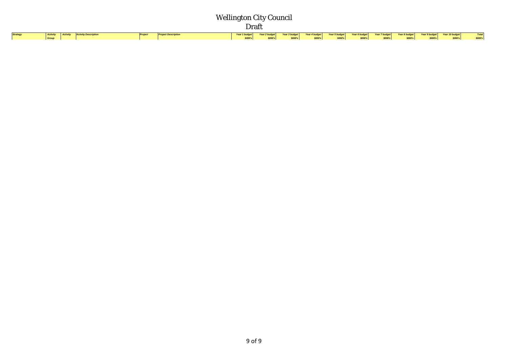| Strategy |                       | <b>Activity</b> Activity <b>Activity Description</b> | Project | <b>Project Description</b>                                                                                                                                                                                                       |  |  |  |  |  |  |
|----------|-----------------------|------------------------------------------------------|---------|----------------------------------------------------------------------------------------------------------------------------------------------------------------------------------------------------------------------------------|--|--|--|--|--|--|
|          | <b>Group Constant</b> |                                                      |         | Year 1 budget   Year 2 budget   Year 3 budget   Year 4 budget   Year 5 budget   Year 6 budget   Year 8 budget   Year 9 budget   Year 10 budget   Total  <br>  1000's   1000's   1000's   1000's   1000's   1000's   1000's   100 |  |  |  |  |  |  |
|          |                       |                                                      |         |                                                                                                                                                                                                                                  |  |  |  |  |  |  |